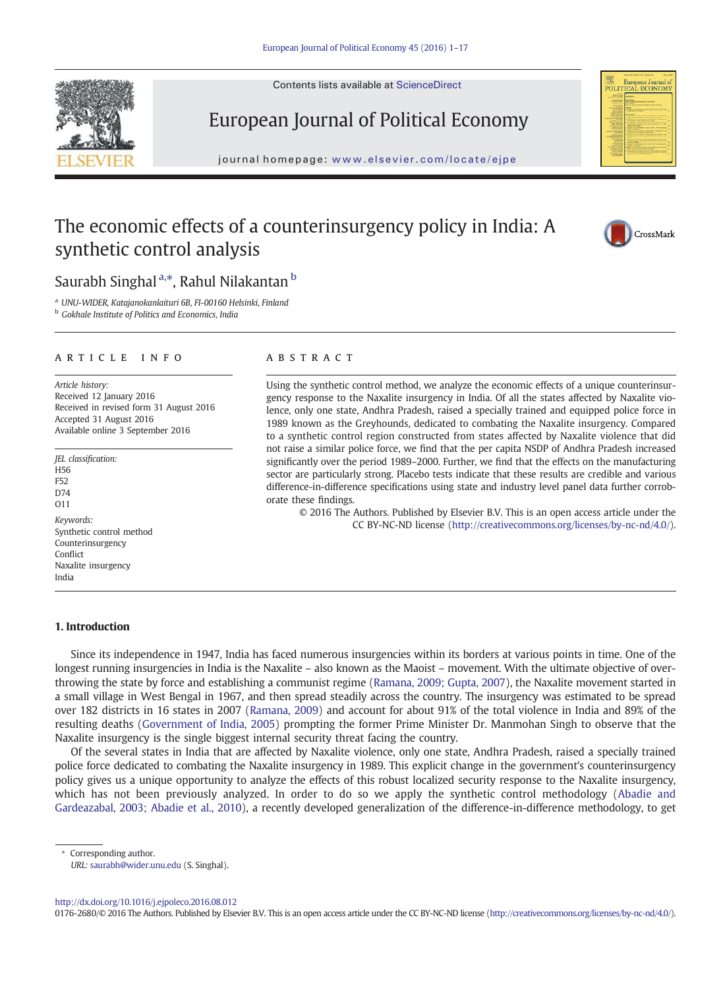Contents lists available at ScienceDirect





journal homepage: www.elsevier.com/locate/ejpe



# The economic effects of a counterinsurgency policy in India: A synthetic control analysis



## Saurabh Singhal <sup>a,\*</sup>, Rahul Nilakantan b

<sup>a</sup> *UNU-WIDER, Katajanokanlaituri 6B, FI-00160 Helsinki, Finland* <sup>b</sup> *Gokhale Institute of Politics and Economics, India*

article info abstract

*Article history:* Received 12 January 2016 Received in revised form 31 August 2016 Accepted 31 August 2016 Available online 3 September 2016

*JEL classi*fi*cation:* .<br>H<sub>56</sub> F52  $D74$ O11 *Keywords:* Synthetic control method Counterinsurgency **Conflict** Naxalite insurgency India

Using the synthetic control method, we analyze the economic effects of a unique counterinsurgency response to the Naxalite insurgency in India. Of all the states affected by Naxalite violence, only one state, Andhra Pradesh, raised a specially trained and equipped police force in 1989 known as the Greyhounds, dedicated to combating the Naxalite insurgency. Compared to a synthetic control region constructed from states affected by Naxalite violence that did not raise a similar police force, we find that the per capita NSDP of Andhra Pradesh increased significantly over the period 1989–2000. Further, we find that the effects on the manufacturing sector are particularly strong. Placebo tests indicate that these results are credible and various difference-in-difference specifications using state and industry level panel data further corroborate these findings.

© 2016 The Authors. Published by Elsevier B.V. This is an open access article under the CC BY-NC-ND license (http://creativecommons.org/licenses/by-nc-nd/4.0/).

### 1. Introduction

Since its independence in 1947, India has faced numerous insurgencies within its borders at various points in time. One of the longest running insurgencies in India is the Naxalite – also known as the Maoist – movement. With the ultimate objective of overthrowing the state by force and establishing a communist regime (Ramana, 2009; Gupta, 2007), the Naxalite movement started in a small village in West Bengal in 1967, and then spread steadily across the country. The insurgency was estimated to be spread over 182 districts in 16 states in 2007 (Ramana, 2009) and account for about 91% of the total violence in India and 89% of the resulting deaths (Government of India, 2005) prompting the former Prime Minister Dr. Manmohan Singh to observe that the Naxalite insurgency is the single biggest internal security threat facing the country.

Of the several states in India that are affected by Naxalite violence, only one state, Andhra Pradesh, raised a specially trained police force dedicated to combating the Naxalite insurgency in 1989. This explicit change in the government's counterinsurgency policy gives us a unique opportunity to analyze the effects of this robust localized security response to the Naxalite insurgency, which has not been previously analyzed. In order to do so we apply the synthetic control methodology (Abadie and Gardeazabal, 2003; Abadie et al., 2010), a recently developed generalization of the difference-in-difference methodology, to get

Corresponding author.

http://dx.doi.org/10.1016/j.ejpoleco.2016.08.012

0176-2680/© 2016 The Authors. Published by Elsevier B.V. This is an open access article under the CC BY-NC-ND license (http://creativecommons.org/licenses/by-nc-nd/4.0/).

*URL:* saurabh@wider.unu.edu (S. Singhal).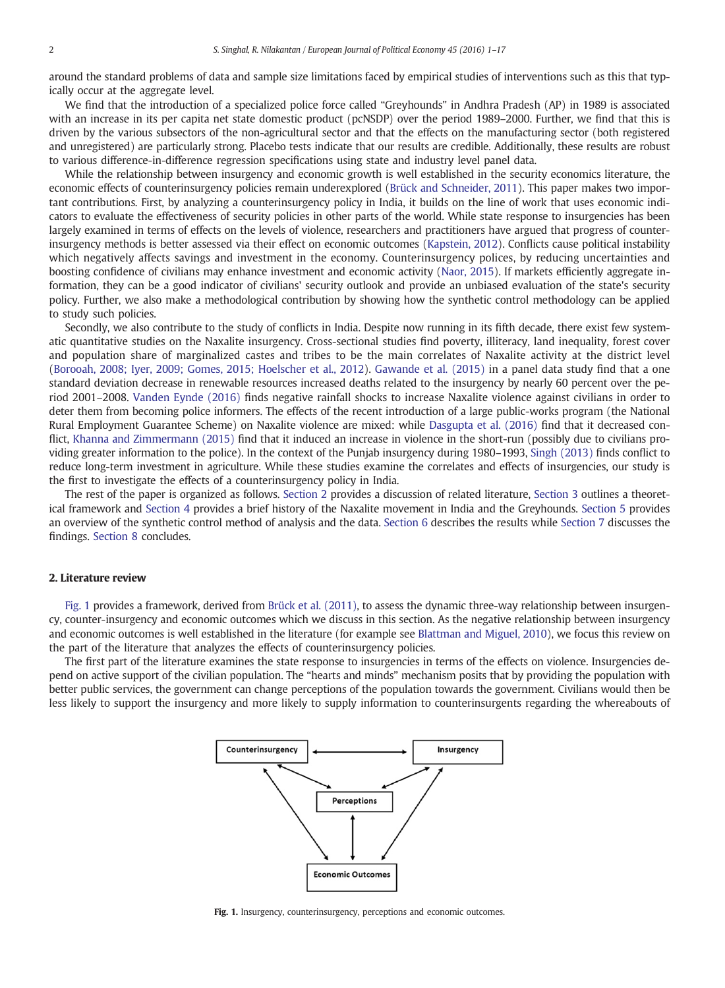around the standard problems of data and sample size limitations faced by empirical studies of interventions such as this that typically occur at the aggregate level.

We find that the introduction of a specialized police force called "Greyhounds" in Andhra Pradesh (AP) in 1989 is associated with an increase in its per capita net state domestic product (pcNSDP) over the period 1989–2000. Further, we find that this is driven by the various subsectors of the non-agricultural sector and that the effects on the manufacturing sector (both registered and unregistered) are particularly strong. Placebo tests indicate that our results are credible. Additionally, these results are robust to various difference-in-difference regression specifications using state and industry level panel data.

While the relationship between insurgency and economic growth is well established in the security economics literature, the economic effects of counterinsurgency policies remain underexplored (Brück and Schneider, 2011). This paper makes two important contributions. First, by analyzing a counterinsurgency policy in India, it builds on the line of work that uses economic indicators to evaluate the effectiveness of security policies in other parts of the world. While state response to insurgencies has been largely examined in terms of effects on the levels of violence, researchers and practitioners have argued that progress of counterinsurgency methods is better assessed via their effect on economic outcomes (Kapstein, 2012). Conflicts cause political instability which negatively affects savings and investment in the economy. Counterinsurgency polices, by reducing uncertainties and boosting confidence of civilians may enhance investment and economic activity (Naor, 2015). If markets efficiently aggregate information, they can be a good indicator of civilians' security outlook and provide an unbiased evaluation of the state's security policy. Further, we also make a methodological contribution by showing how the synthetic control methodology can be applied to study such policies.

Secondly, we also contribute to the study of conflicts in India. Despite now running in its fifth decade, there exist few systematic quantitative studies on the Naxalite insurgency. Cross-sectional studies find poverty, illiteracy, land inequality, forest cover and population share of marginalized castes and tribes to be the main correlates of Naxalite activity at the district level (Borooah, 2008; Iyer, 2009; Gomes, 2015; Hoelscher et al., 2012). Gawande et al. (2015) in a panel data study find that a one standard deviation decrease in renewable resources increased deaths related to the insurgency by nearly 60 percent over the period 2001–2008. Vanden Eynde (2016) finds negative rainfall shocks to increase Naxalite violence against civilians in order to deter them from becoming police informers. The effects of the recent introduction of a large public-works program (the National Rural Employment Guarantee Scheme) on Naxalite violence are mixed: while Dasgupta et al. (2016) find that it decreased conflict, Khanna and Zimmermann (2015) find that it induced an increase in violence in the short-run (possibly due to civilians providing greater information to the police). In the context of the Punjab insurgency during 1980–1993, Singh (2013) finds conflict to reduce long-term investment in agriculture. While these studies examine the correlates and effects of insurgencies, our study is the first to investigate the effects of a counterinsurgency policy in India.

The rest of the paper is organized as follows. Section 2 provides a discussion of related literature, Section 3 outlines a theoretical framework and Section 4 provides a brief history of the Naxalite movement in India and the Greyhounds. Section 5 provides an overview of the synthetic control method of analysis and the data. Section 6 describes the results while Section 7 discusses the findings. Section 8 concludes.

#### 2. Literature review

Fig. 1 provides a framework, derived from Brück et al. (2011), to assess the dynamic three-way relationship between insurgency, counter-insurgency and economic outcomes which we discuss in this section. As the negative relationship between insurgency and economic outcomes is well established in the literature (for example see Blattman and Miguel, 2010), we focus this review on the part of the literature that analyzes the effects of counterinsurgency policies.

The first part of the literature examines the state response to insurgencies in terms of the effects on violence. Insurgencies depend on active support of the civilian population. The "hearts and minds" mechanism posits that by providing the population with better public services, the government can change perceptions of the population towards the government. Civilians would then be less likely to support the insurgency and more likely to supply information to counterinsurgents regarding the whereabouts of



Fig. 1. Insurgency, counterinsurgency, perceptions and economic outcomes.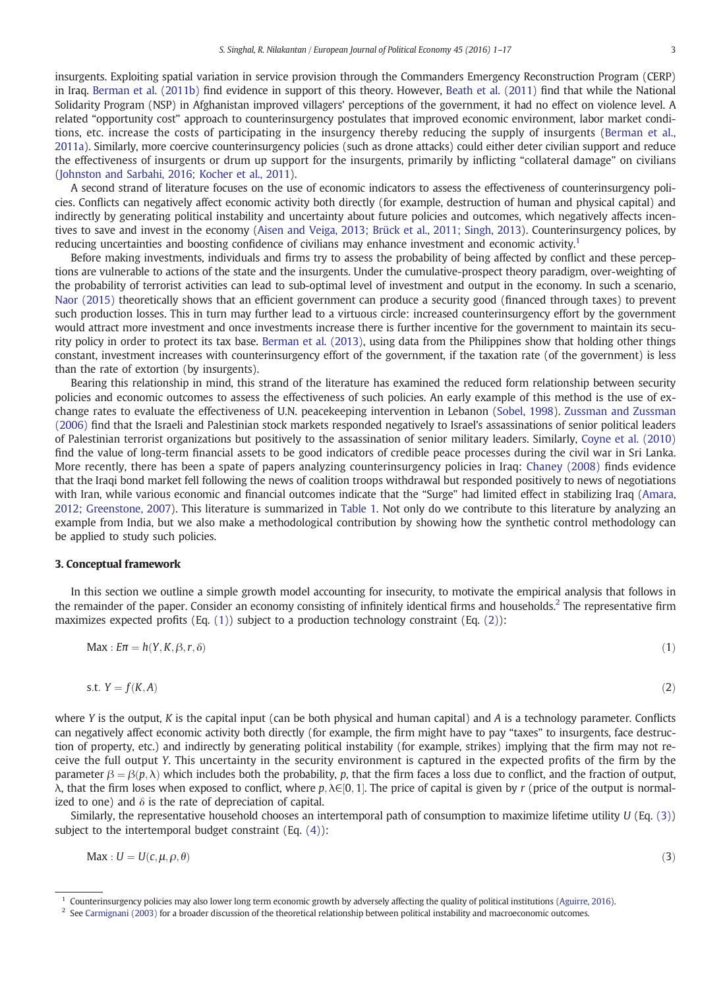insurgents. Exploiting spatial variation in service provision through the Commanders Emergency Reconstruction Program (CERP) in Iraq. Berman et al. (2011b) find evidence in support of this theory. However, Beath et al. (2011) find that while the National Solidarity Program (NSP) in Afghanistan improved villagers' perceptions of the government, it had no effect on violence level. A related "opportunity cost" approach to counterinsurgency postulates that improved economic environment, labor market conditions, etc. increase the costs of participating in the insurgency thereby reducing the supply of insurgents (Berman et al., 2011a). Similarly, more coercive counterinsurgency policies (such as drone attacks) could either deter civilian support and reduce the effectiveness of insurgents or drum up support for the insurgents, primarily by inflicting "collateral damage" on civilians (Johnston and Sarbahi, 2016; Kocher et al., 2011).

A second strand of literature focuses on the use of economic indicators to assess the effectiveness of counterinsurgency policies. Conflicts can negatively affect economic activity both directly (for example, destruction of human and physical capital) and indirectly by generating political instability and uncertainty about future policies and outcomes, which negatively affects incentives to save and invest in the economy (Aisen and Veiga, 2013; Brück et al., 2011; Singh, 2013). Counterinsurgency polices, by reducing uncertainties and boosting confidence of civilians may enhance investment and economic activity.<sup>1</sup>

Before making investments, individuals and firms try to assess the probability of being affected by conflict and these perceptions are vulnerable to actions of the state and the insurgents. Under the cumulative-prospect theory paradigm, over-weighting of the probability of terrorist activities can lead to sub-optimal level of investment and output in the economy. In such a scenario, Naor (2015) theoretically shows that an efficient government can produce a security good (financed through taxes) to prevent such production losses. This in turn may further lead to a virtuous circle: increased counterinsurgency effort by the government would attract more investment and once investments increase there is further incentive for the government to maintain its security policy in order to protect its tax base. Berman et al. (2013), using data from the Philippines show that holding other things constant, investment increases with counterinsurgency effort of the government, if the taxation rate (of the government) is less than the rate of extortion (by insurgents).

Bearing this relationship in mind, this strand of the literature has examined the reduced form relationship between security policies and economic outcomes to assess the effectiveness of such policies. An early example of this method is the use of exchange rates to evaluate the effectiveness of U.N. peacekeeping intervention in Lebanon (Sobel, 1998). Zussman and Zussman (2006) find that the Israeli and Palestinian stock markets responded negatively to Israel's assassinations of senior political leaders of Palestinian terrorist organizations but positively to the assassination of senior military leaders. Similarly, Coyne et al. (2010) find the value of long-term financial assets to be good indicators of credible peace processes during the civil war in Sri Lanka. More recently, there has been a spate of papers analyzing counterinsurgency policies in Iraq: Chaney (2008) finds evidence that the Iraqi bond market fell following the news of coalition troops withdrawal but responded positively to news of negotiations with Iran, while various economic and financial outcomes indicate that the "Surge" had limited effect in stabilizing Iraq (Amara, 2012; Greenstone, 2007). This literature is summarized in Table 1. Not only do we contribute to this literature by analyzing an example from India, but we also make a methodological contribution by showing how the synthetic control methodology can be applied to study such policies.

#### 3. Conceptual framework

In this section we outline a simple growth model accounting for insecurity, to motivate the empirical analysis that follows in the remainder of the paper. Consider an economy consisting of infinitely identical firms and households.<sup>2</sup> The representative firm maximizes expected profits (Eq. (1)) subject to a production technology constraint (Eq. (2)):

$$
\mathsf{Max} : \mathsf{Err} = h(Y, K, \beta, r, \delta) \tag{1}
$$

$$
s.t. Y = f(K, A) \tag{2}
$$

where *Y* is the output, *K* is the capital input (can be both physical and human capital) and *A* is a technology parameter. Conflicts can negatively affect economic activity both directly (for example, the firm might have to pay "taxes" to insurgents, face destruction of property, etc.) and indirectly by generating political instability (for example, strikes) implying that the firm may not receive the full output *Y*. This uncertainty in the security environment is captured in the expected profits of the firm by the parameter  $β = β(p, λ)$  which includes both the probability, *p*, that the firm faces a loss due to conflict, and the fraction of output,  $\lambda$ , that the firm loses when exposed to conflict, where  $p, \lambda \in [0, 1]$ . The price of capital is given by *r* (price of the output is normalized to one) and  $\delta$  is the rate of depreciation of capital.

Similarly, the representative household chooses an intertemporal path of consumption to maximize lifetime utility *U* (Eq. (3)) subject to the intertemporal budget constraint (Eq. (4)):

$$
\text{Max}: U = U(c, \mu, \rho, \theta) \tag{3}
$$

<sup>1</sup> Counterinsurgency policies may also lower long term economic growth by adversely affecting the quality of political institutions (Aguirre, 2016).

 $2$  See Carmignani (2003) for a broader discussion of the theoretical relationship between political instability and macroeconomic outcomes.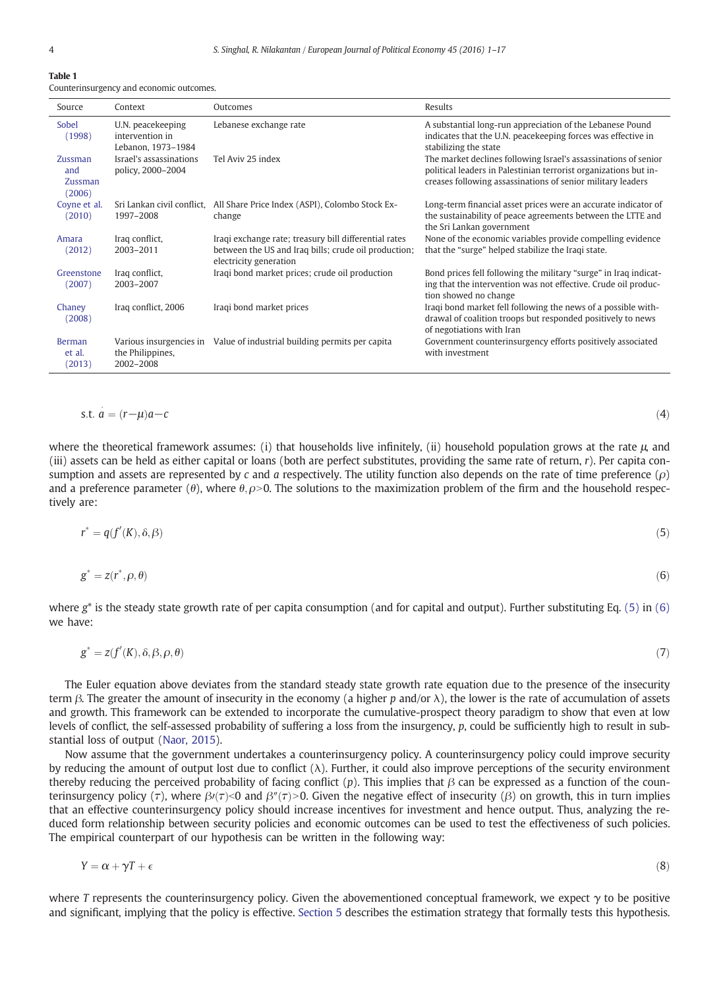| Table 1                                  |  |  |
|------------------------------------------|--|--|
| Counterinsurgency and economic outcomes. |  |  |

| Source                              | Context                                                    | Outcomes                                                                                                                                | Results                                                                                                                                                                                            |
|-------------------------------------|------------------------------------------------------------|-----------------------------------------------------------------------------------------------------------------------------------------|----------------------------------------------------------------------------------------------------------------------------------------------------------------------------------------------------|
| Sobel<br>(1998)                     | U.N. peacekeeping<br>intervention in<br>Lebanon, 1973-1984 | Lebanese exchange rate                                                                                                                  | A substantial long-run appreciation of the Lebanese Pound<br>indicates that the U.N. peacekeeping forces was effective in<br>stabilizing the state                                                 |
| Zussman<br>and<br>Zussman<br>(2006) | Israel's assassinations<br>policy, 2000-2004               | Tel Aviv 25 index                                                                                                                       | The market declines following Israel's assassinations of senior<br>political leaders in Palestinian terrorist organizations but in-<br>creases following assassinations of senior military leaders |
| Coyne et al.<br>(2010)              | 1997-2008                                                  | Sri Lankan civil conflict, All Share Price Index (ASPI), Colombo Stock Ex-<br>change                                                    | Long-term financial asset prices were an accurate indicator of<br>the sustainability of peace agreements between the LTTE and<br>the Sri Lankan government                                         |
| Amara<br>(2012)                     | Iraq conflict,<br>2003-2011                                | Iraqi exchange rate; treasury bill differential rates<br>between the US and Iraq bills; crude oil production;<br>electricity generation | None of the economic variables provide compelling evidence<br>that the "surge" helped stabilize the Iraqi state.                                                                                   |
| Greenstone<br>(2007)                | Iraq conflict,<br>2003-2007                                | Iraqi bond market prices; crude oil production                                                                                          | Bond prices fell following the military "surge" in Iraq indicat-<br>ing that the intervention was not effective. Crude oil produc-<br>tion showed no change                                        |
| Chaney<br>(2008)                    | Iraq conflict, 2006                                        | Iraqi bond market prices                                                                                                                | Iraqi bond market fell following the news of a possible with-<br>drawal of coalition troops but responded positively to news<br>of negotiations with Iran                                          |
| Berman<br>et al.<br>(2013)          | the Philippines.<br>2002-2008                              | Various insurgencies in Value of industrial building permits per capita                                                                 | Government counterinsurgency efforts positively associated<br>with investment                                                                                                                      |

$$
s.t. \quad a = (r - \mu)a - c \tag{4}
$$

where the theoretical framework assumes: (i) that households live infinitely, (ii) household population grows at the rate μ, and (iii) assets can be held as either capital or loans (both are perfect substitutes, providing the same rate of return, *r*). Per capita consumption and assets are represented by *c* and *a* respectively. The utility function also depends on the rate of time preference (ρ) and a preference parameter ( $\theta$ ), where  $\theta$ ,  $\rho > 0$ . The solutions to the maximization problem of the firm and the household respectively are:

$$
r^* = q(f'(K), \delta, \beta) \tag{5}
$$

$$
g^* = z(r^*, \rho, \theta) \tag{6}
$$

where *g*\* is the steady state growth rate of per capita consumption (and for capital and output). Further substituting Eq. (5) in (6) we have:

$$
g^* = z(f'(K), \delta, \beta, \rho, \theta) \tag{7}
$$

The Euler equation above deviates from the standard steady state growth rate equation due to the presence of the insecurity term β. The greater the amount of insecurity in the economy (a higher *p* and/or λ), the lower is the rate of accumulation of assets and growth. This framework can be extended to incorporate the cumulative-prospect theory paradigm to show that even at low levels of conflict, the self-assessed probability of suffering a loss from the insurgency, *p*, could be sufficiently high to result in substantial loss of output (Naor, 2015).

Now assume that the government undertakes a counterinsurgency policy. A counterinsurgency policy could improve security by reducing the amount of output lost due to conflict (λ). Further, it could also improve perceptions of the security environment thereby reducing the perceived probability of facing conflict (*p*). This implies that *β* can be expressed as a function of the counterinsurgency policy (τ), where  $\beta/(\tau)$ <0 and  $\beta''(\tau)$ >0. Given the negative effect of insecurity (β) on growth, this in turn implies that an effective counterinsurgency policy should increase incentives for investment and hence output. Thus, analyzing the reduced form relationship between security policies and economic outcomes can be used to test the effectiveness of such policies. The empirical counterpart of our hypothesis can be written in the following way:

$$
Y = \alpha + \gamma T + \epsilon \tag{8}
$$

where *T* represents the counterinsurgency policy. Given the abovementioned conceptual framework, we expect γ to be positive and significant, implying that the policy is effective. Section 5 describes the estimation strategy that formally tests this hypothesis.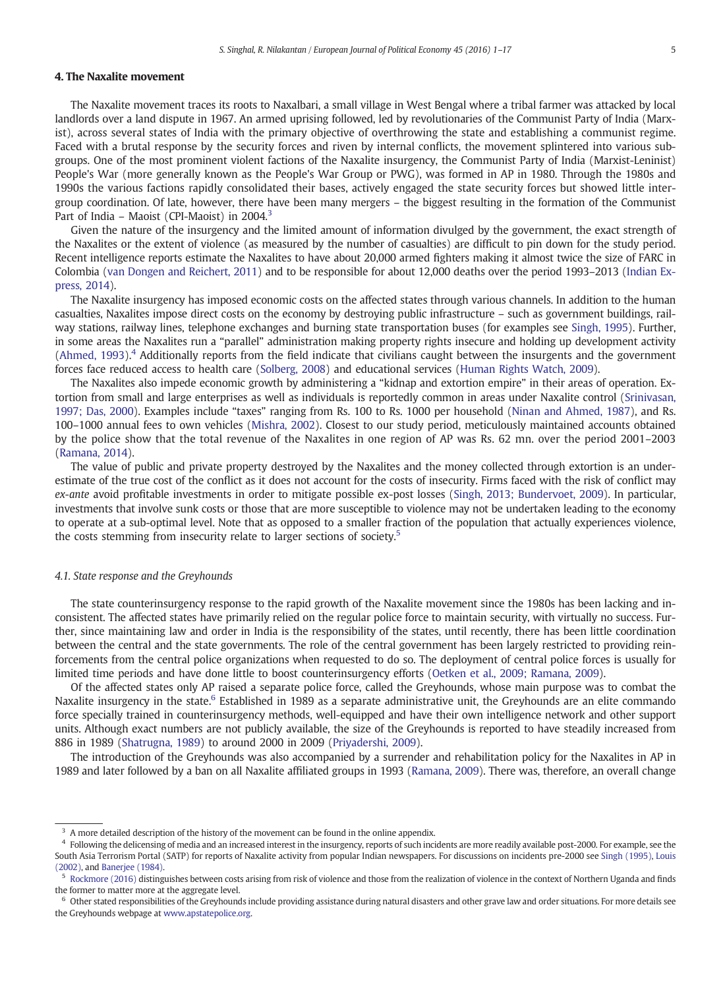#### 4. The Naxalite movement

The Naxalite movement traces its roots to Naxalbari, a small village in West Bengal where a tribal farmer was attacked by local landlords over a land dispute in 1967. An armed uprising followed, led by revolutionaries of the Communist Party of India (Marxist), across several states of India with the primary objective of overthrowing the state and establishing a communist regime. Faced with a brutal response by the security forces and riven by internal conflicts, the movement splintered into various subgroups. One of the most prominent violent factions of the Naxalite insurgency, the Communist Party of India (Marxist-Leninist) People's War (more generally known as the People's War Group or PWG), was formed in AP in 1980. Through the 1980s and 1990s the various factions rapidly consolidated their bases, actively engaged the state security forces but showed little intergroup coordination. Of late, however, there have been many mergers – the biggest resulting in the formation of the Communist Part of India - Maoist (CPI-Maoist) in 2004.<sup>3</sup>

Given the nature of the insurgency and the limited amount of information divulged by the government, the exact strength of the Naxalites or the extent of violence (as measured by the number of casualties) are difficult to pin down for the study period. Recent intelligence reports estimate the Naxalites to have about 20,000 armed fighters making it almost twice the size of FARC in Colombia (van Dongen and Reichert, 2011) and to be responsible for about 12,000 deaths over the period 1993–2013 (Indian Express, 2014).

The Naxalite insurgency has imposed economic costs on the affected states through various channels. In addition to the human casualties, Naxalites impose direct costs on the economy by destroying public infrastructure – such as government buildings, railway stations, railway lines, telephone exchanges and burning state transportation buses (for examples see Singh, 1995). Further, in some areas the Naxalites run a "parallel" administration making property rights insecure and holding up development activity (Ahmed, 1993).<sup>4</sup> Additionally reports from the field indicate that civilians caught between the insurgents and the government forces face reduced access to health care (Solberg, 2008) and educational services (Human Rights Watch, 2009).

The Naxalites also impede economic growth by administering a "kidnap and extortion empire" in their areas of operation. Extortion from small and large enterprises as well as individuals is reportedly common in areas under Naxalite control (Srinivasan, 1997; Das, 2000). Examples include "taxes" ranging from Rs. 100 to Rs. 1000 per household (Ninan and Ahmed, 1987), and Rs. 100–1000 annual fees to own vehicles (Mishra, 2002). Closest to our study period, meticulously maintained accounts obtained by the police show that the total revenue of the Naxalites in one region of AP was Rs. 62 mn. over the period 2001–2003 (Ramana, 2014).

The value of public and private property destroyed by the Naxalites and the money collected through extortion is an underestimate of the true cost of the conflict as it does not account for the costs of insecurity. Firms faced with the risk of conflict may *ex-ante* avoid profitable investments in order to mitigate possible ex-post losses (Singh, 2013; Bundervoet, 2009). In particular, investments that involve sunk costs or those that are more susceptible to violence may not be undertaken leading to the economy to operate at a sub-optimal level. Note that as opposed to a smaller fraction of the population that actually experiences violence, the costs stemming from insecurity relate to larger sections of society.<sup>5</sup>

#### *4.1. State response and the Greyhounds*

The state counterinsurgency response to the rapid growth of the Naxalite movement since the 1980s has been lacking and inconsistent. The affected states have primarily relied on the regular police force to maintain security, with virtually no success. Further, since maintaining law and order in India is the responsibility of the states, until recently, there has been little coordination between the central and the state governments. The role of the central government has been largely restricted to providing reinforcements from the central police organizations when requested to do so. The deployment of central police forces is usually for limited time periods and have done little to boost counterinsurgency efforts (Oetken et al., 2009; Ramana, 2009).

Of the affected states only AP raised a separate police force, called the Greyhounds, whose main purpose was to combat the Naxalite insurgency in the state.<sup>6</sup> Established in 1989 as a separate administrative unit, the Greyhounds are an elite commando force specially trained in counterinsurgency methods, well-equipped and have their own intelligence network and other support units. Although exact numbers are not publicly available, the size of the Greyhounds is reported to have steadily increased from 886 in 1989 (Shatrugna, 1989) to around 2000 in 2009 (Priyadershi, 2009).

The introduction of the Greyhounds was also accompanied by a surrender and rehabilitation policy for the Naxalites in AP in 1989 and later followed by a ban on all Naxalite affiliated groups in 1993 (Ramana, 2009). There was, therefore, an overall change

<sup>&</sup>lt;sup>3</sup> A more detailed description of the history of the movement can be found in the online appendix.

<sup>&</sup>lt;sup>4</sup> Following the delicensing of media and an increased interest in the insurgency, reports of such incidents are more readily available post-2000. For example, see the South Asia Terrorism Portal (SATP) for reports of Naxalite activity from popular Indian newspapers. For discussions on incidents pre-2000 see Singh (1995), Louis (2002), and Banerjee (1984).

<sup>&</sup>lt;sup>5</sup> Rockmore (2016) distinguishes between costs arising from risk of violence and those from the realization of violence in the context of Northern Uganda and finds the former to matter more at the aggregate level.

<sup>6</sup> Other stated responsibilities of the Greyhounds include providing assistance during natural disasters and other grave law and order situations. For more details see the Greyhounds webpage at www.apstatepolice.org.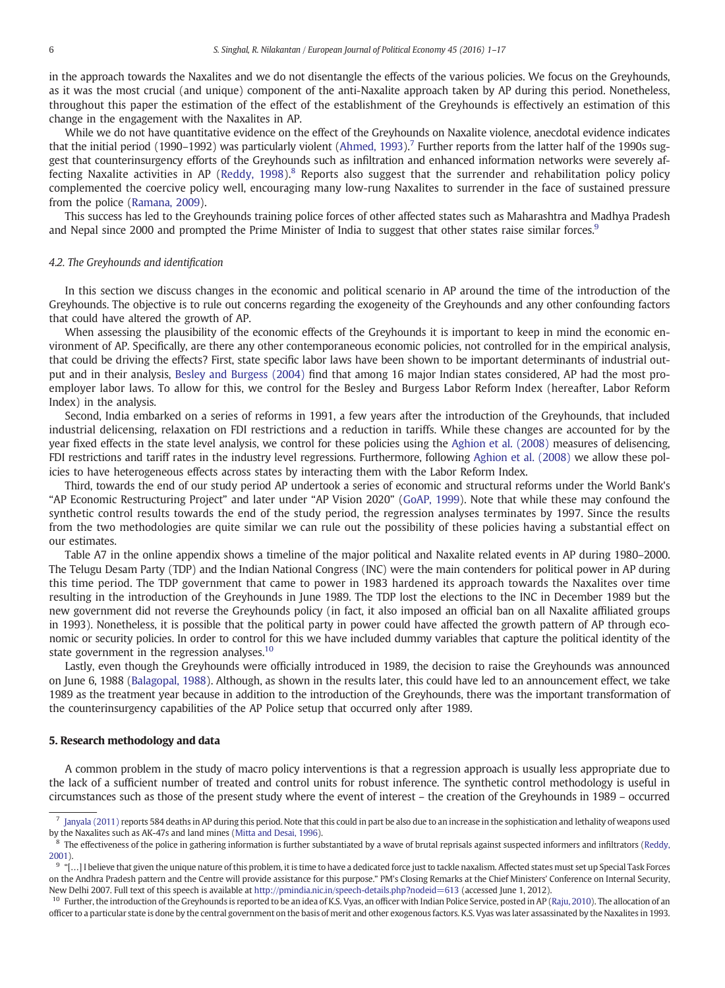in the approach towards the Naxalites and we do not disentangle the effects of the various policies. We focus on the Greyhounds, as it was the most crucial (and unique) component of the anti-Naxalite approach taken by AP during this period. Nonetheless, throughout this paper the estimation of the effect of the establishment of the Greyhounds is effectively an estimation of this change in the engagement with the Naxalites in AP.

While we do not have quantitative evidence on the effect of the Greyhounds on Naxalite violence, anecdotal evidence indicates that the initial period (1990–1992) was particularly violent (Ahmed, 1993).<sup>7</sup> Further reports from the latter half of the 1990s suggest that counterinsurgency efforts of the Greyhounds such as infiltration and enhanced information networks were severely affecting Naxalite activities in AP (Reddy, 1998).<sup>8</sup> Reports also suggest that the surrender and rehabilitation policy policy complemented the coercive policy well, encouraging many low-rung Naxalites to surrender in the face of sustained pressure from the police (Ramana, 2009).

This success has led to the Greyhounds training police forces of other affected states such as Maharashtra and Madhya Pradesh and Nepal since 2000 and prompted the Prime Minister of India to suggest that other states raise similar forces.<sup>9</sup>

#### *4.2. The Greyhounds and identi*fi*cation*

In this section we discuss changes in the economic and political scenario in AP around the time of the introduction of the Greyhounds. The objective is to rule out concerns regarding the exogeneity of the Greyhounds and any other confounding factors that could have altered the growth of AP.

When assessing the plausibility of the economic effects of the Greyhounds it is important to keep in mind the economic environment of AP. Specifically, are there any other contemporaneous economic policies, not controlled for in the empirical analysis, that could be driving the effects? First, state specific labor laws have been shown to be important determinants of industrial output and in their analysis, Besley and Burgess (2004) find that among 16 major Indian states considered, AP had the most proemployer labor laws. To allow for this, we control for the Besley and Burgess Labor Reform Index (hereafter, Labor Reform Index) in the analysis.

Second, India embarked on a series of reforms in 1991, a few years after the introduction of the Greyhounds, that included industrial delicensing, relaxation on FDI restrictions and a reduction in tariffs. While these changes are accounted for by the year fixed effects in the state level analysis, we control for these policies using the Aghion et al. (2008) measures of delisencing, FDI restrictions and tariff rates in the industry level regressions. Furthermore, following Aghion et al. (2008) we allow these policies to have heterogeneous effects across states by interacting them with the Labor Reform Index.

Third, towards the end of our study period AP undertook a series of economic and structural reforms under the World Bank's "AP Economic Restructuring Project" and later under "AP Vision 2020" (GoAP, 1999). Note that while these may confound the synthetic control results towards the end of the study period, the regression analyses terminates by 1997. Since the results from the two methodologies are quite similar we can rule out the possibility of these policies having a substantial effect on our estimates.

Table A7 in the online appendix shows a timeline of the major political and Naxalite related events in AP during 1980–2000. The Telugu Desam Party (TDP) and the Indian National Congress (INC) were the main contenders for political power in AP during this time period. The TDP government that came to power in 1983 hardened its approach towards the Naxalites over time resulting in the introduction of the Greyhounds in June 1989. The TDP lost the elections to the INC in December 1989 but the new government did not reverse the Greyhounds policy (in fact, it also imposed an official ban on all Naxalite affiliated groups in 1993). Nonetheless, it is possible that the political party in power could have affected the growth pattern of AP through economic or security policies. In order to control for this we have included dummy variables that capture the political identity of the state government in the regression analyses. $10$ 

Lastly, even though the Greyhounds were officially introduced in 1989, the decision to raise the Greyhounds was announced on June 6, 1988 (Balagopal, 1988). Although, as shown in the results later, this could have led to an announcement effect, we take 1989 as the treatment year because in addition to the introduction of the Greyhounds, there was the important transformation of the counterinsurgency capabilities of the AP Police setup that occurred only after 1989.

#### 5. Research methodology and data

A common problem in the study of macro policy interventions is that a regression approach is usually less appropriate due to the lack of a sufficient number of treated and control units for robust inference. The synthetic control methodology is useful in circumstances such as those of the present study where the event of interest – the creation of the Greyhounds in 1989 – occurred

<sup>7</sup> Janyala (2011) reports 584 deaths in AP during this period. Note that this could in part be also due to an increase in the sophistication and lethality of weapons used by the Naxalites such as AK-47s and land mines (Mitta and Desai, 1996).

<sup>&</sup>lt;sup>8</sup> The effectiveness of the police in gathering information is further substantiated by a wave of brutal reprisals against suspected informers and infiltrators (Reddy, 2001).

 $^9$  "[...] I believe that given the unique nature of this problem, it is time to have a dedicated force just to tackle naxalism. Affected states must set up Special Task Forces on the Andhra Pradesh pattern and the Centre will provide assistance for this purpose." PM's Closing Remarks at the Chief Ministers' Conference on Internal Security, New Delhi 2007. Full text of this speech is available at http://pmindia.nic.in/speech-details.php?nodeid=613 (accessed June 1, 2012).

<sup>&</sup>lt;sup>10</sup> Further, the introduction of the Greyhounds is reported to be an idea of K.S. Vyas, an officer with Indian Police Service, posted in AP (Raju, 2010). The allocation of an officer to a particular state is done by the central government on the basis of merit and other exogenous factors. K.S. Vyas was later assassinated by the Naxalites in 1993.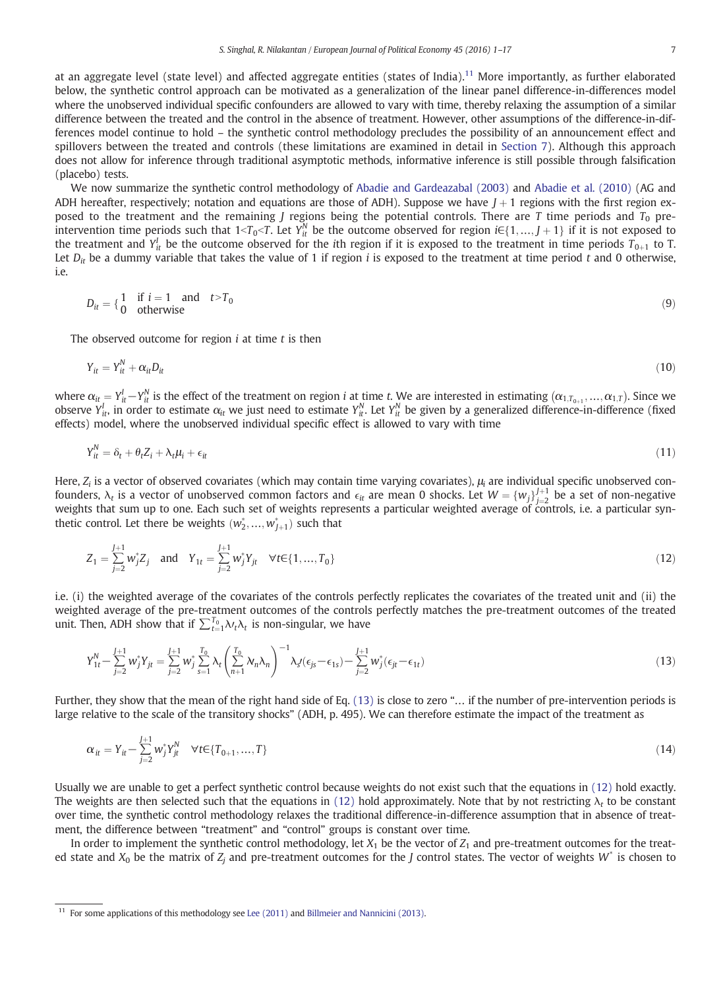at an aggregate level (state level) and affected aggregate entities (states of India).<sup>11</sup> More importantly, as further elaborated below, the synthetic control approach can be motivated as a generalization of the linear panel difference-in-differences model where the unobserved individual specific confounders are allowed to vary with time, thereby relaxing the assumption of a similar difference between the treated and the control in the absence of treatment. However, other assumptions of the difference-in-differences model continue to hold – the synthetic control methodology precludes the possibility of an announcement effect and spillovers between the treated and controls (these limitations are examined in detail in Section 7). Although this approach does not allow for inference through traditional asymptotic methods, informative inference is still possible through falsification (placebo) tests.

We now summarize the synthetic control methodology of Abadie and Gardeazabal (2003) and Abadie et al. (2010) (AG and ADH hereafter, respectively; notation and equations are those of ADH). Suppose we have  $J+1$  regions with the first region exposed to the treatment and the remaining *J* regions being the potential controls. There are *T* time periods and  $T_0$  preintervention time periods such that  $1 < T_0 < T$ . Let  $Y_{it}^N$  be the outcome observed for region  $i \in \{1, ..., J+1\}$  if it is not exposed to the treatment and  $Y_{it}^l$  be the outcome observed for the *i*th region if it is exposed to the treatment in time periods  $T_{0+1}$  to T. Let  $D_{it}$  be a dummy variable that takes the value of 1 if region *i* is exposed to the treatment at time period *t* and 0 otherwise,  $i.e.$ 

$$
D_{it} = \begin{cases} 1 & \text{if } i = 1 \quad \text{and} \quad t > T_0 \\ 0 & \text{otherwise} \end{cases}
$$
 (9)

The observed outcome for region *i* at time *t* is then

$$
Y_{it} = Y_{it}^N + \alpha_{it} D_{it} \tag{10}
$$

where  $\alpha_{it} = Y^l_{it} - Y^N_{it}$  is the effect of the treatment on region *i* at time *t*. We are interested in estimating  $(\alpha_{1,T_{0+1}},...,\alpha_{1,T})$ . Since we observe  $Y_{it}^I$ , in order to estimate  $\alpha_{it}$  we just need to estimate  $Y_{it}^N$ . Let  $Y_{it}^N$  be given by a generalized difference-in-difference (fixed effects) model, where the unobserved individual specific effect is allowed to vary with time

$$
Y_{it}^{N} = \delta_t + \theta_t Z_i + \lambda_t \mu_i + \epsilon_{it} \tag{11}
$$

Here,  $Z_i$  is a vector of observed covariates (which may contain time varying covariates),  $\mu_i$  are individual specific unobserved confounders,  $\lambda_t$  is a vector of unobserved common factors and  $\epsilon_{it}$  are mean 0 shocks. Let  $W = \{w_j\}_{j=2}^{J+1}$  be a set of non-negative weights that sum up to one. Each such set of weights represents a particular weighted average of controls, i.e. a particular synthetic control. Let there be weights  $(w_2^*,...,w_{J+1}^*)$  such that

$$
Z_1 = \sum_{j=2}^{J+1} w_j^* Z_j \quad \text{and} \quad Y_{1t} = \sum_{j=2}^{J+1} w_j^* Y_{jt} \quad \forall t \in \{1, ..., T_0\}
$$
 (12)

i.e. (i) the weighted average of the covariates of the controls perfectly replicates the covariates of the treated unit and (ii) the weighted average of the pre-treatment outcomes of the controls perfectly matches the pre-treatment outcomes of the treated unit. Then, ADH show that if  $\sum_{t=1}^{T_0} \lambda_t \lambda_t$  is non-singular, we have

$$
Y_{1t}^{N} - \sum_{j=2}^{J+1} w_{j}^{*} Y_{jt} = \sum_{j=2}^{J+1} w_{j}^{*} \sum_{s=1}^{T_{0}} \lambda_{t} \left( \sum_{n+1}^{T_{0}} \lambda_{n} \lambda_{n} \right)^{-1} \lambda_{s} \left( \epsilon_{js} - \epsilon_{1s} \right) - \sum_{j=2}^{J+1} w_{j}^{*} \left( \epsilon_{jt} - \epsilon_{1t} \right)
$$
\n(13)

Further, they show that the mean of the right hand side of Eq. (13) is close to zero "… if the number of pre-intervention periods is large relative to the scale of the transitory shocks" (ADH, p. 495). We can therefore estimate the impact of the treatment as

$$
\alpha_{it} = Y_{it} - \sum_{j=2}^{J+1} w_j^* Y_{jt}^N \quad \forall t \in \{T_{0+1}, ..., T\}
$$
\n(14)

Usually we are unable to get a perfect synthetic control because weights do not exist such that the equations in (12) hold exactly. The weights are then selected such that the equations in (12) hold approximately. Note that by not restricting  $\lambda_t$  to be constant over time, the synthetic control methodology relaxes the traditional difference-in-difference assumption that in absence of treatment, the difference between "treatment" and "control" groups is constant over time.

In order to implement the synthetic control methodology, let  $X_1$  be the vector of  $Z_1$  and pre-treatment outcomes for the treated state and  $X_0$  be the matrix of  $Z_j$  and pre-treatment outcomes for the *J* control states. The vector of weights  $W^*$  is chosen to

<sup>&</sup>lt;sup>11</sup> For some applications of this methodology see Lee (2011) and Billmeier and Nannicini (2013).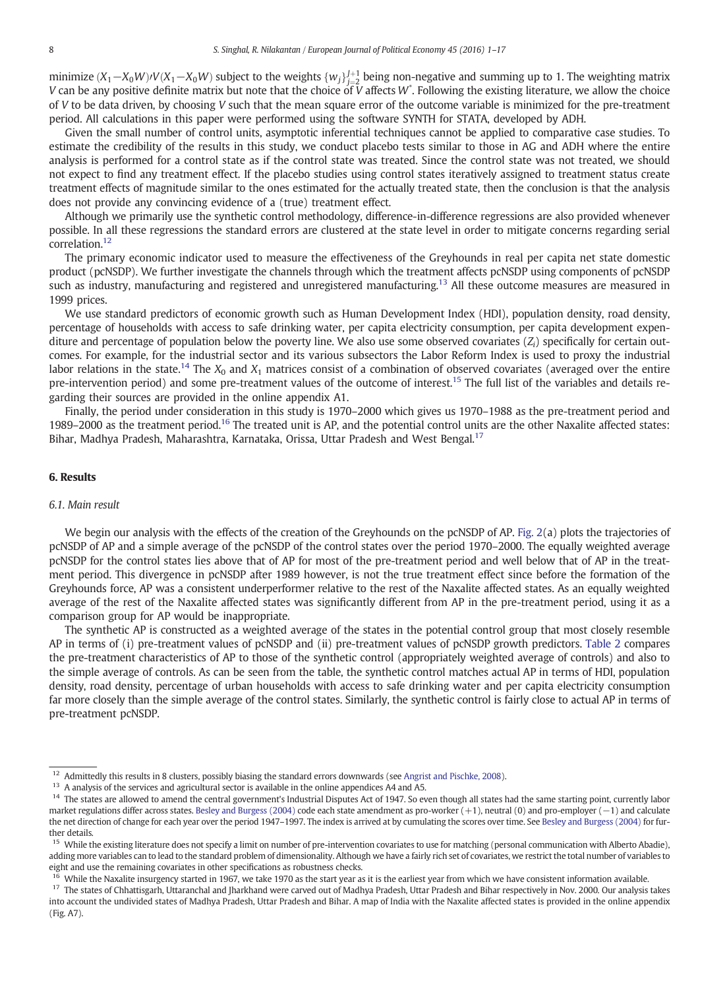minimize (X<sub>1</sub> − X<sub>0</sub>W)/V(X<sub>1</sub> − X<sub>0</sub>W) subject to the weights { $w_j$ } $_{j=2}^{J+1}$  being non-negative and summing up to 1. The weighting matrix *V* can be any positive definite matrix but note that the choice of *V* affects *W*<sup>\*</sup>. Following the existing literature, we allow the choice  $V$  affects  $W$ <sup>\*</sup>. Following the existing literature, we allow the choice of *V* to be data driven, by choosing *V* such that the mean square error of the outcome variable is minimized for the pre-treatment period. All calculations in this paper were performed using the software SYNTH for STATA, developed by ADH.

Given the small number of control units, asymptotic inferential techniques cannot be applied to comparative case studies. To estimate the credibility of the results in this study, we conduct placebo tests similar to those in AG and ADH where the entire analysis is performed for a control state as if the control state was treated. Since the control state was not treated, we should not expect to find any treatment effect. If the placebo studies using control states iteratively assigned to treatment status create treatment effects of magnitude similar to the ones estimated for the actually treated state, then the conclusion is that the analysis does not provide any convincing evidence of a (true) treatment effect.

Although we primarily use the synthetic control methodology, difference-in-difference regressions are also provided whenever possible. In all these regressions the standard errors are clustered at the state level in order to mitigate concerns regarding serial correlation.<sup>12</sup>

The primary economic indicator used to measure the effectiveness of the Greyhounds in real per capita net state domestic product (pcNSDP). We further investigate the channels through which the treatment affects pcNSDP using components of pcNSDP such as industry, manufacturing and registered and unregistered manufacturing.<sup>13</sup> All these outcome measures are measured in 1999 prices.

We use standard predictors of economic growth such as Human Development Index (HDI), population density, road density, percentage of households with access to safe drinking water, per capita electricity consumption, per capita development expenditure and percentage of population below the poverty line. We also use some observed covariates (*Zi*) specifically for certain outcomes. For example, for the industrial sector and its various subsectors the Labor Reform Index is used to proxy the industrial labor relations in the state.<sup>14</sup> The  $X_0$  and  $X_1$  matrices consist of a combination of observed covariates (averaged over the entire pre-intervention period) and some pre-treatment values of the outcome of interest.<sup>15</sup> The full list of the variables and details regarding their sources are provided in the online appendix A1.

Finally, the period under consideration in this study is 1970–2000 which gives us 1970–1988 as the pre-treatment period and 1989–2000 as the treatment period.<sup>16</sup> The treated unit is AP, and the potential control units are the other Naxalite affected states: Bihar, Madhya Pradesh, Maharashtra, Karnataka, Orissa, Uttar Pradesh and West Bengal.<sup>17</sup>

#### 6. Results

#### *6.1. Main result*

We begin our analysis with the effects of the creation of the Greyhounds on the pcNSDP of AP. Fig. 2(a) plots the trajectories of pcNSDP of AP and a simple average of the pcNSDP of the control states over the period 1970–2000. The equally weighted average pcNSDP for the control states lies above that of AP for most of the pre-treatment period and well below that of AP in the treatment period. This divergence in pcNSDP after 1989 however, is not the true treatment effect since before the formation of the Greyhounds force, AP was a consistent underperformer relative to the rest of the Naxalite affected states. As an equally weighted average of the rest of the Naxalite affected states was significantly different from AP in the pre-treatment period, using it as a comparison group for AP would be inappropriate.

The synthetic AP is constructed as a weighted average of the states in the potential control group that most closely resemble AP in terms of (i) pre-treatment values of pcNSDP and (ii) pre-treatment values of pcNSDP growth predictors. Table 2 compares the pre-treatment characteristics of AP to those of the synthetic control (appropriately weighted average of controls) and also to the simple average of controls. As can be seen from the table, the synthetic control matches actual AP in terms of HDI, population density, road density, percentage of urban households with access to safe drinking water and per capita electricity consumption far more closely than the simple average of the control states. Similarly, the synthetic control is fairly close to actual AP in terms of pre-treatment pcNSDP.

<sup>16</sup> While the Naxalite insurgency started in 1967, we take 1970 as the start year as it is the earliest year from which we have consistent information available.

<sup>17</sup> The states of Chhattisgarh, Uttaranchal and Jharkhand were carved out of Madhya Pradesh, Uttar Pradesh and Bihar respectively in Nov. 2000. Our analysis takes into account the undivided states of Madhya Pradesh, Uttar Pradesh and Bihar. A map of India with the Naxalite affected states is provided in the online appendix (Fig. A7).

<sup>&</sup>lt;sup>12</sup> Admittedly this results in 8 clusters, possibly biasing the standard errors downwards (see Angrist and Pischke, 2008).

<sup>&</sup>lt;sup>13</sup> A analysis of the services and agricultural sector is available in the online appendices A4 and A5.

<sup>&</sup>lt;sup>14</sup> The states are allowed to amend the central government's Industrial Disputes Act of 1947. So even though all states had the same starting point, currently labor market regulations differ across states. Besley and Burgess (2004) code each state amendment as pro-worker (+1), neutral (0) and pro-employer (−1) and calculate the net direction of change for each year over the period 1947-1997. The index is arrived at by cumulating the scores over time. See Besley and Burgess (2004) for further details.

<sup>&</sup>lt;sup>15</sup> While the existing literature does not specify a limit on number of pre-intervention covariates to use for matching (personal communication with Alberto Abadie), adding more variables can to lead to the standard problem of dimensionality. Although we have a fairly rich set of covariates, we restrict the total number of variables to eight and use the remaining covariates in other specifications as robustness checks.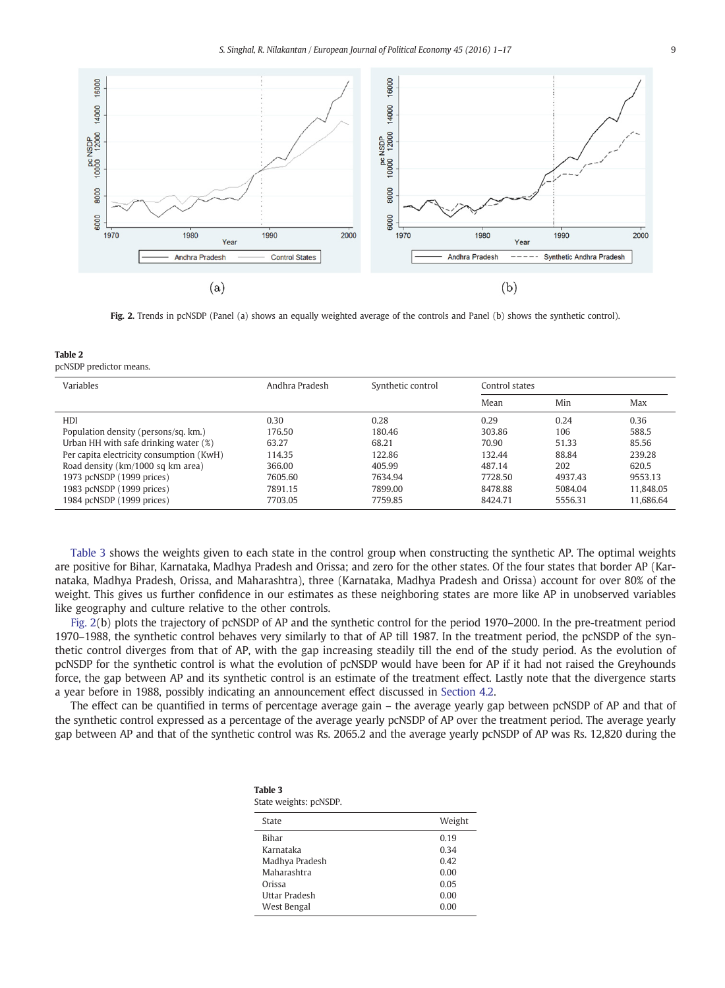

Fig. 2. Trends in pcNSDP (Panel (a) shows an equally weighted average of the controls and Panel (b) shows the synthetic control).

Table 2 pcNSDP predictor means.

| Variables                                | Andhra Pradesh | Synthetic control | Control states |         |           |
|------------------------------------------|----------------|-------------------|----------------|---------|-----------|
|                                          |                |                   | Mean           | Min     | Max       |
| HDI                                      | 0.30           | 0.28              | 0.29           | 0.24    | 0.36      |
| Population density (persons/sq. km.)     | 176.50         | 180.46            | 303.86         | 106     | 588.5     |
| Urban HH with safe drinking water (%)    | 63.27          | 68.21             | 70.90          | 51.33   | 85.56     |
| Per capita electricity consumption (KwH) | 114.35         | 122.86            | 132.44         | 88.84   | 239.28    |
| Road density (km/1000 sq km area)        | 366.00         | 405.99            | 487.14         | 202     | 620.5     |
| 1973 pcNSDP (1999 prices)                | 7605.60        | 7634.94           | 7728.50        | 4937.43 | 9553.13   |
| 1983 pcNSDP (1999 prices)                | 7891.15        | 7899.00           | 8478.88        | 5084.04 | 11.848.05 |
| 1984 pcNSDP (1999 prices)                | 7703.05        | 7759.85           | 8424.71        | 5556.31 | 11.686.64 |

Table 3 shows the weights given to each state in the control group when constructing the synthetic AP. The optimal weights are positive for Bihar, Karnataka, Madhya Pradesh and Orissa; and zero for the other states. Of the four states that border AP (Karnataka, Madhya Pradesh, Orissa, and Maharashtra), three (Karnataka, Madhya Pradesh and Orissa) account for over 80% of the weight. This gives us further confidence in our estimates as these neighboring states are more like AP in unobserved variables like geography and culture relative to the other controls.

Fig. 2(b) plots the trajectory of pcNSDP of AP and the synthetic control for the period 1970–2000. In the pre-treatment period 1970–1988, the synthetic control behaves very similarly to that of AP till 1987. In the treatment period, the pcNSDP of the synthetic control diverges from that of AP, with the gap increasing steadily till the end of the study period. As the evolution of pcNSDP for the synthetic control is what the evolution of pcNSDP would have been for AP if it had not raised the Greyhounds force, the gap between AP and its synthetic control is an estimate of the treatment effect. Lastly note that the divergence starts a year before in 1988, possibly indicating an announcement effect discussed in Section 4.2.

The effect can be quantified in terms of percentage average gain – the average yearly gap between pcNSDP of AP and that of the synthetic control expressed as a percentage of the average yearly pcNSDP of AP over the treatment period. The average yearly gap between AP and that of the synthetic control was Rs. 2065.2 and the average yearly pcNSDP of AP was Rs. 12,820 during the

| Table 3                |  |
|------------------------|--|
| State weights: pcNSDP. |  |

| Weight |
|--------|
| 0.19   |
| 0.34   |
| 0.42   |
| 0.00   |
| 0.05   |
| 0.00   |
| 0.00   |
|        |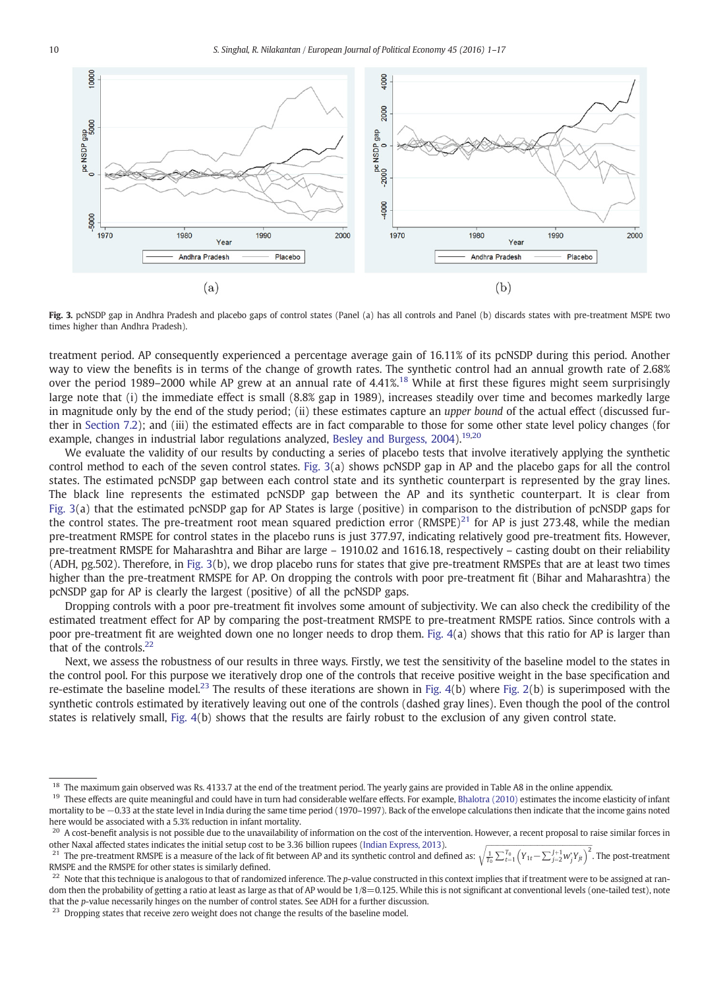

Fig. 3. pcNSDP gap in Andhra Pradesh and placebo gaps of control states (Panel (a) has all controls and Panel (b) discards states with pre-treatment MSPE two times higher than Andhra Pradesh).

treatment period. AP consequently experienced a percentage average gain of 16.11% of its pcNSDP during this period. Another way to view the benefits is in terms of the change of growth rates. The synthetic control had an annual growth rate of 2.68% over the period 1989–2000 while AP grew at an annual rate of 4.41%.<sup>18</sup> While at first these figures might seem surprisingly large note that (i) the immediate effect is small (8.8% gap in 1989), increases steadily over time and becomes markedly large in magnitude only by the end of the study period; (ii) these estimates capture an *upper bound* of the actual effect (discussed further in Section 7.2); and (iii) the estimated effects are in fact comparable to those for some other state level policy changes (for example, changes in industrial labor regulations analyzed, Besley and Burgess, 2004).<sup>19,20</sup>

We evaluate the validity of our results by conducting a series of placebo tests that involve iteratively applying the synthetic control method to each of the seven control states. Fig. 3(a) shows pcNSDP gap in AP and the placebo gaps for all the control states. The estimated pcNSDP gap between each control state and its synthetic counterpart is represented by the gray lines. The black line represents the estimated pcNSDP gap between the AP and its synthetic counterpart. It is clear from Fig. 3(a) that the estimated pcNSDP gap for AP States is large (positive) in comparison to the distribution of pcNSDP gaps for the control states. The pre-treatment root mean squared prediction error (RMSPE) $^{21}$  for AP is just 273.48, while the median pre-treatment RMSPE for control states in the placebo runs is just 377.97, indicating relatively good pre-treatment fits. However, pre-treatment RMSPE for Maharashtra and Bihar are large – 1910.02 and 1616.18, respectively – casting doubt on their reliability (ADH, pg.502). Therefore, in Fig. 3(b), we drop placebo runs for states that give pre-treatment RMSPEs that are at least two times higher than the pre-treatment RMSPE for AP. On dropping the controls with poor pre-treatment fit (Bihar and Maharashtra) the pcNSDP gap for AP is clearly the largest (positive) of all the pcNSDP gaps.

Dropping controls with a poor pre-treatment fit involves some amount of subjectivity. We can also check the credibility of the estimated treatment effect for AP by comparing the post-treatment RMSPE to pre-treatment RMSPE ratios. Since controls with a poor pre-treatment fit are weighted down one no longer needs to drop them. Fig. 4(a) shows that this ratio for AP is larger than that of the controls. $22$ 

Next, we assess the robustness of our results in three ways. Firstly, we test the sensitivity of the baseline model to the states in the control pool. For this purpose we iteratively drop one of the controls that receive positive weight in the base specification and re-estimate the baseline model.<sup>23</sup> The results of these iterations are shown in Fig. 4(b) where Fig. 2(b) is superimposed with the synthetic controls estimated by iteratively leaving out one of the controls (dashed gray lines). Even though the pool of the control states is relatively small, Fig. 4(b) shows that the results are fairly robust to the exclusion of any given control state.

<sup>&</sup>lt;sup>18</sup> The maximum gain observed was Rs. 4133.7 at the end of the treatment period. The yearly gains are provided in Table A8 in the online appendix.<br><sup>19</sup> These effects are quite propriately and quild baye in turn bed consi

<sup>19</sup> These effects are quite meaningful and could have in turn had considerable welfare effects. For example, Bhalotra (2010) estimates the income elasticity of infant mortality to be −0.33 at the state level in India during the same time period (1970–1997). Back of the envelope calculations then indicate that the income gains noted here would be associated with a 5.3% reduction in infant mortality.

 $^{20}$  A cost-benefit analysis is not possible due to the unavailability of information on the cost of the intervention. However, a recent proposal to raise similar forces in other Naxal affected states indicates the initial setup cost to be 3.36 billion rupees (Indian Express, 2013).

<sup>&</sup>lt;sup>21</sup> The pre-treatment RMSPE is a measure of the lack of fit between AP and its synthetic control and defined as:  $\sqrt{\frac{1}{T_0}\sum_{t=1}^{T_0}(Y_{1t}-\sum_{j=2}^{J+1}w_j^*Y_{jt})^2}$  $\frac{2}{1}$ . The post-treatment RMSPE and the RMSPE for other states is similarly defined.

<sup>&</sup>lt;sup>22</sup> Note that this technique is analogous to that of randomized inference. The *p*-value constructed in this context implies that if treatment were to be assigned at random then the probability of getting a ratio at least as large as that of AP would be  $1/8=0.125$ . While this is not significant at conventional levels (one-tailed test), note that the *p*-value necessarily hinges on the number of control states. See ADH for a further discussion.

<sup>&</sup>lt;sup>23</sup> Dropping states that receive zero weight does not change the results of the baseline model.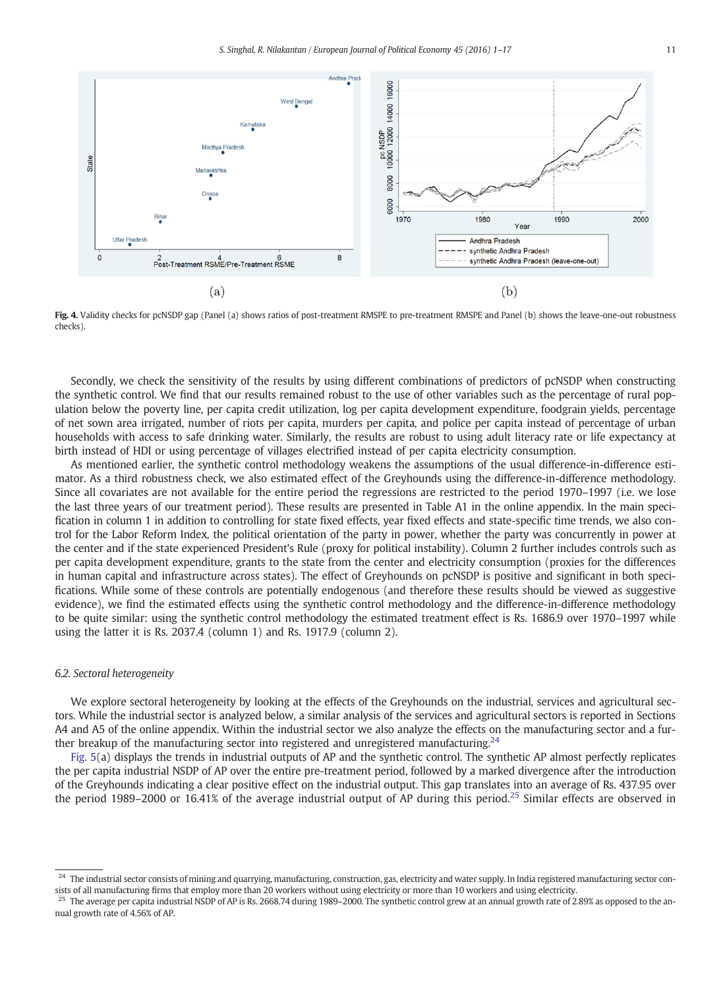

Fig. 4. Validity checks for pcNSDP gap (Panel (a) shows ratios of post-treatment RMSPE to pre-treatment RMSPE and Panel (b) shows the leave-one-out robustness checks).

Secondly, we check the sensitivity of the results by using different combinations of predictors of pcNSDP when constructing the synthetic control. We find that our results remained robust to the use of other variables such as the percentage of rural population below the poverty line, per capita credit utilization, log per capita development expenditure, foodgrain yields, percentage of net sown area irrigated, number of riots per capita, murders per capita, and police per capita instead of percentage of urban households with access to safe drinking water. Similarly, the results are robust to using adult literacy rate or life expectancy at birth instead of HDI or using percentage of villages electrified instead of per capita electricity consumption.

As mentioned earlier, the synthetic control methodology weakens the assumptions of the usual difference-in-difference estimator. As a third robustness check, we also estimated effect of the Greyhounds using the difference-in-difference methodology. Since all covariates are not available for the entire period the regressions are restricted to the period 1970–1997 (i.e. we lose the last three years of our treatment period). These results are presented in Table A1 in the online appendix. In the main specification in column 1 in addition to controlling for state fixed effects, year fixed effects and state-specific time trends, we also control for the Labor Reform Index, the political orientation of the party in power, whether the party was concurrently in power at the center and if the state experienced President's Rule (proxy for political instability). Column 2 further includes controls such as per capita development expenditure, grants to the state from the center and electricity consumption (proxies for the differences in human capital and infrastructure across states). The effect of Greyhounds on pcNSDP is positive and significant in both specifications. While some of these controls are potentially endogenous (and therefore these results should be viewed as suggestive evidence), we find the estimated effects using the synthetic control methodology and the difference-in-difference methodology to be quite similar: using the synthetic control methodology the estimated treatment effect is Rs. 1686.9 over 1970–1997 while using the latter it is Rs. 2037.4 (column 1) and Rs. 1917.9 (column 2).

#### *6.2. Sectoral heterogeneity*

We explore sectoral heterogeneity by looking at the effects of the Greyhounds on the industrial, services and agricultural sectors. While the industrial sector is analyzed below, a similar analysis of the services and agricultural sectors is reported in Sections A4 and A5 of the online appendix. Within the industrial sector we also analyze the effects on the manufacturing sector and a further breakup of the manufacturing sector into registered and unregistered manufacturing.<sup>24</sup>

Fig. 5(a) displays the trends in industrial outputs of AP and the synthetic control. The synthetic AP almost perfectly replicates the per capita industrial NSDP of AP over the entire pre-treatment period, followed by a marked divergence after the introduction of the Greyhounds indicating a clear positive effect on the industrial output. This gap translates into an average of Rs. 437.95 over the period 1989–2000 or 16.41% of the average industrial output of AP during this period.<sup>25</sup> Similar effects are observed in

<sup>&</sup>lt;sup>24</sup> The industrial sector consists of mining and quarrying, manufacturing, construction, gas, electricity and water supply. In India registered manufacturing sector consists of all manufacturing firms that employ more than 20 workers without using electricity or more than 10 workers and using electricity.

<sup>&</sup>lt;sup>25</sup> The average per capita industrial NSDP of AP is Rs. 2668.74 during 1989–2000. The synthetic control grew at an annual growth rate of 2.89% as opposed to the annual growth rate of 4.56% of AP.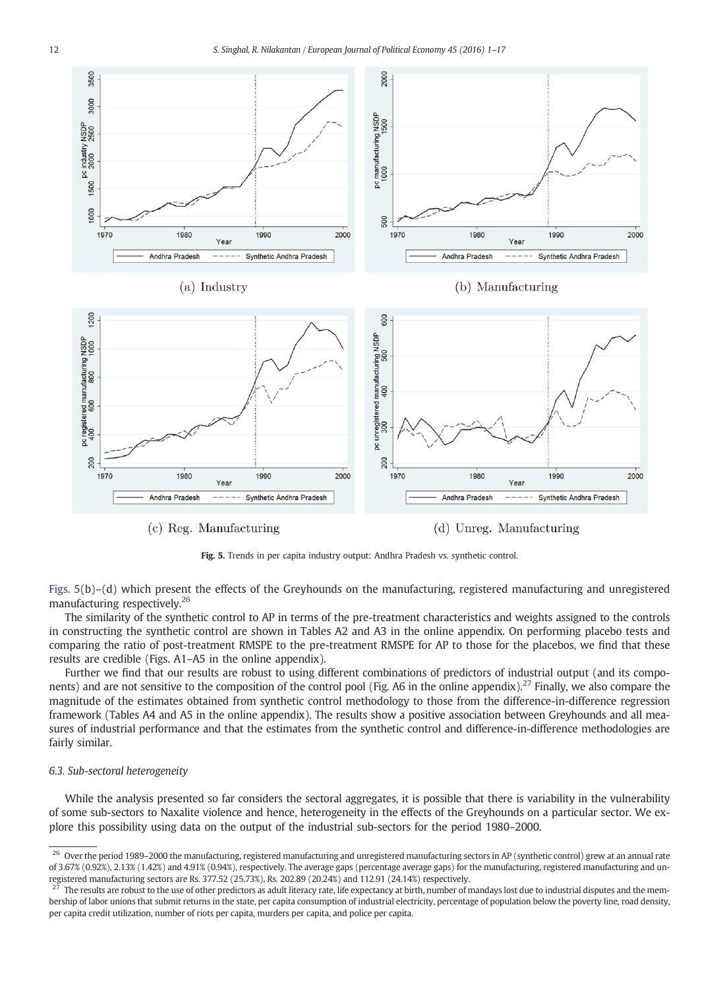

 $(c)$  Reg. Manufacturing

(d) Unreg. Manufacturing

Fig. 5. Trends in per capita industry output: Andhra Pradesh vs. synthetic control.

Figs. 5(b)–(d) which present the effects of the Greyhounds on the manufacturing, registered manufacturing and unregistered manufacturing respectively.<sup>26</sup>

The similarity of the synthetic control to AP in terms of the pre-treatment characteristics and weights assigned to the controls in constructing the synthetic control are shown in Tables A2 and A3 in the online appendix. On performing placebo tests and comparing the ratio of post-treatment RMSPE to the pre-treatment RMSPE for AP to those for the placebos, we find that these results are credible (Figs. A1–A5 in the online appendix).

Further we find that our results are robust to using different combinations of predictors of industrial output (and its components) and are not sensitive to the composition of the control pool (Fig. A6 in the online appendix).<sup>27</sup> Finally, we also compare the magnitude of the estimates obtained from synthetic control methodology to those from the difference-in-difference regression framework (Tables A4 and A5 in the online appendix). The results show a positive association between Greyhounds and all measures of industrial performance and that the estimates from the synthetic control and difference-in-difference methodologies are fairly similar.

#### *6.3. Sub-sectoral heterogeneity*

While the analysis presented so far considers the sectoral aggregates, it is possible that there is variability in the vulnerability of some sub-sectors to Naxalite violence and hence, heterogeneity in the effects of the Greyhounds on a particular sector. We explore this possibility using data on the output of the industrial sub-sectors for the period 1980–2000.

<sup>&</sup>lt;sup>26</sup> Over the period 1989–2000 the manufacturing, registered manufacturing and unregistered manufacturing sectors in AP (synthetic control) grew at an annual rate of 3.67% (0.92%), 2.13% (1.42%) and 4.91% (0.94%), respectively. The average gaps (percentage average gaps) for the manufacturing, registered manufacturing and unregistered manufacturing sectors are Rs. 377.52 (25.73%), Rs. 202.89 (20.24%) and 112.91 (24.14%) respectively.

 $2^{27}$  The results are robust to the use of other predictors as adult literacy rate, life expectancy at birth, number of mandays lost due to industrial disputes and the membership of labor unions that submit returns in the state, per capita consumption of industrial electricity, percentage of population below the poverty line, road density, per capita credit utilization, number of riots per capita, murders per capita, and police per capita.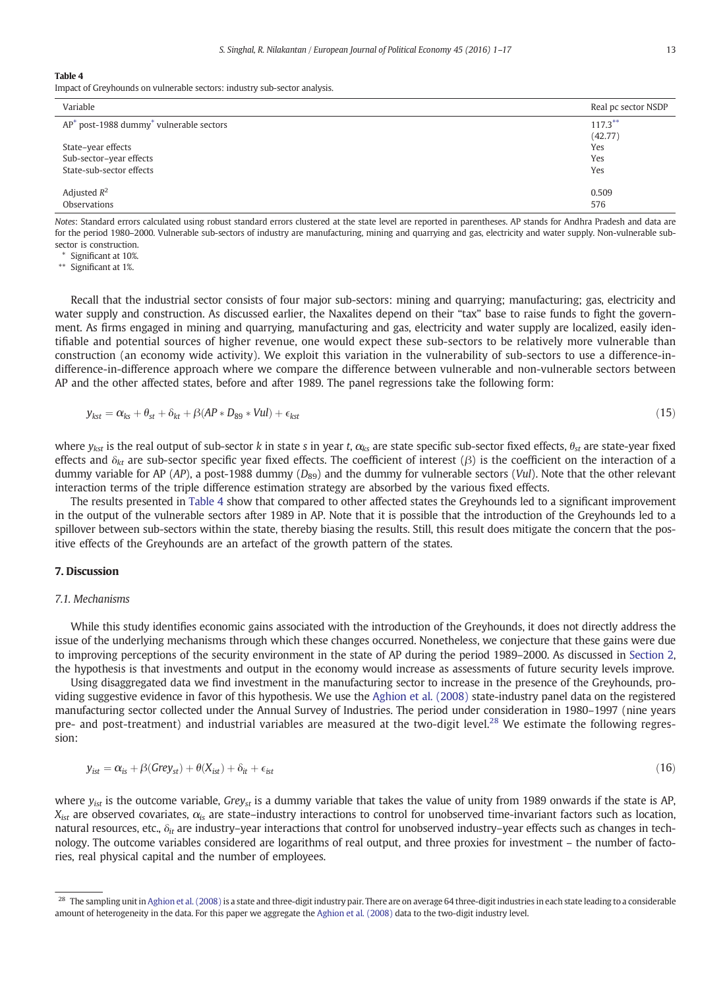#### Table 4

Impact of Greyhounds on vulnerable sectors: industry sub-sector analysis.

| Variable                                               | Real pc sector NSDP |
|--------------------------------------------------------|---------------------|
| $AP^*$ post-1988 dummy <sup>*</sup> vulnerable sectors | $117.3***$          |
|                                                        | (42.77)             |
| State-year effects                                     | Yes                 |
| Sub-sector-year effects                                | Yes                 |
| State-sub-sector effects                               | Yes                 |
| Adjusted $R^2$                                         | 0.509               |
| Observations                                           | 576                 |

*Notes*: Standard errors calculated using robust standard errors clustered at the state level are reported in parentheses. AP stands for Andhra Pradesh and data are for the period 1980–2000. Vulnerable sub-sectors of industry are manufacturing, mining and quarrying and gas, electricity and water supply. Non-vulnerable subsector is construction.

⁎ Significant at 10%.

⁎⁎ Significant at 1%.

Recall that the industrial sector consists of four major sub-sectors: mining and quarrying; manufacturing; gas, electricity and water supply and construction. As discussed earlier, the Naxalites depend on their "tax" base to raise funds to fight the government. As firms engaged in mining and quarrying, manufacturing and gas, electricity and water supply are localized, easily identifiable and potential sources of higher revenue, one would expect these sub-sectors to be relatively more vulnerable than construction (an economy wide activity). We exploit this variation in the vulnerability of sub-sectors to use a difference-indifference-in-difference approach where we compare the difference between vulnerable and non-vulnerable sectors between AP and the other affected states, before and after 1989. The panel regressions take the following form:

$$
y_{kst} = \alpha_{ks} + \theta_{st} + \beta_{kt} + \beta (AP * D_{89} * Vul) + \epsilon_{kst}
$$
\n(15)

where  $y_{kst}$  is the real output of sub-sector *k* in state *s* in year *t*,  $\alpha_{ks}$  are state specific sub-sector fixed effects,  $\theta_{st}$  are state-year fixed effects and  $δ<sub>kt</sub>$  are sub-sector specific year fixed effects. The coefficient of interest (β) is the coefficient on the interaction of a dummy variable for AP (AP), a post-1988 dummy (D<sub>89</sub>) and the dummy for vulnerable sectors (*Vul*). Note that the other relevant interaction terms of the triple difference estimation strategy are absorbed by the various fixed effects.

The results presented in Table 4 show that compared to other affected states the Greyhounds led to a significant improvement in the output of the vulnerable sectors after 1989 in AP. Note that it is possible that the introduction of the Greyhounds led to a spillover between sub-sectors within the state, thereby biasing the results. Still, this result does mitigate the concern that the positive effects of the Greyhounds are an artefact of the growth pattern of the states.

#### 7. Discussion

#### *7.1. Mechanisms*

While this study identifies economic gains associated with the introduction of the Greyhounds, it does not directly address the issue of the underlying mechanisms through which these changes occurred. Nonetheless, we conjecture that these gains were due to improving perceptions of the security environment in the state of AP during the period 1989–2000. As discussed in Section 2, the hypothesis is that investments and output in the economy would increase as assessments of future security levels improve.

Using disaggregated data we find investment in the manufacturing sector to increase in the presence of the Greyhounds, providing suggestive evidence in favor of this hypothesis. We use the Aghion et al. (2008) state-industry panel data on the registered manufacturing sector collected under the Annual Survey of Industries. The period under consideration in 1980–1997 (nine years pre- and post-treatment) and industrial variables are measured at the two-digit level.<sup>28</sup> We estimate the following regression:

$$
y_{ist} = \alpha_{is} + \beta(Grev_{st}) + \theta(X_{ist}) + \delta_{it} + \epsilon_{ist}
$$
\n(16)

where *yist* is the outcome variable, *Greyst* is a dummy variable that takes the value of unity from 1989 onwards if the state is AP,  $X_{\text{ist}}$  are observed covariates,  $\alpha_{\text{is}}$  are state–industry interactions to control for unobserved time-invariant factors such as location, natural resources, etc., δ*it* are industry–year interactions that control for unobserved industry–year effects such as changes in technology. The outcome variables considered are logarithms of real output, and three proxies for investment – the number of factories, real physical capital and the number of employees.

<sup>&</sup>lt;sup>28</sup> The sampling unit in Aghion et al. (2008) is a state and three-digit industry pair. There are on average 64 three-digit industries in each state leading to a considerable amount of heterogeneity in the data. For this paper we aggregate the Aghion et al. (2008) data to the two-digit industry level.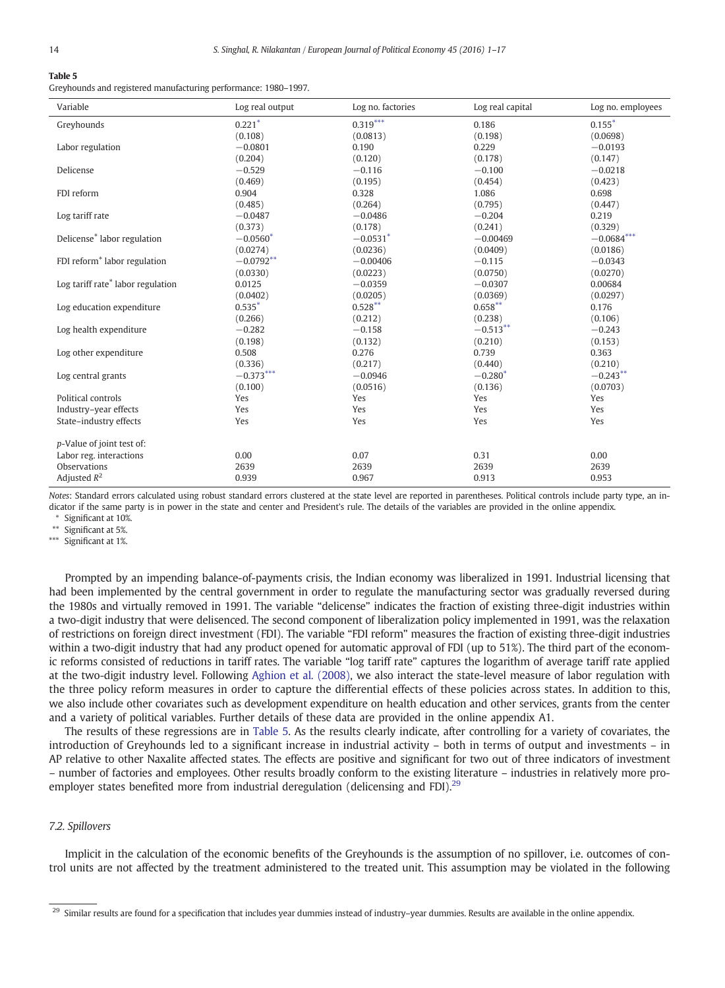#### Table 5

Greyhounds and registered manufacturing performance: 1980–1997.

| Variable                                      | Log real output | Log no. factories | Log real capital | Log no. employees |
|-----------------------------------------------|-----------------|-------------------|------------------|-------------------|
| Greyhounds                                    | $0.221*$        | $0.319***$        | 0.186            | $0.155*$          |
|                                               | (0.108)         | (0.0813)          | (0.198)          | (0.0698)          |
| Labor regulation                              | $-0.0801$       | 0.190             | 0.229            | $-0.0193$         |
|                                               | (0.204)         | (0.120)           | (0.178)          | (0.147)           |
| Delicense                                     | $-0.529$        | $-0.116$          | $-0.100$         | $-0.0218$         |
|                                               | (0.469)         | (0.195)           | (0.454)          | (0.423)           |
| FDI reform                                    | 0.904           | 0.328             | 1.086            | 0.698             |
|                                               | (0.485)         | (0.264)           | (0.795)          | (0.447)           |
| Log tariff rate                               | $-0.0487$       | $-0.0486$         | $-0.204$         | 0.219             |
|                                               | (0.373)         | (0.178)           | (0.241)          | (0.329)           |
| Delicense <sup>*</sup> labor regulation       | $-0.0560*$      | $-0.0531*$        | $-0.00469$       | $-0.0684***$      |
|                                               | (0.0274)        | (0.0236)          | (0.0409)         | (0.0186)          |
| FDI reform <sup>*</sup> labor regulation      | $-0.0792**$     | $-0.00406$        | $-0.115$         | $-0.0343$         |
|                                               | (0.0330)        | (0.0223)          | (0.0750)         | (0.0270)          |
| Log tariff rate <sup>*</sup> labor regulation | 0.0125          | $-0.0359$         | $-0.0307$        | 0.00684           |
|                                               | (0.0402)        | (0.0205)          | (0.0369)         | (0.0297)          |
| Log education expenditure                     | $0.535*$        | $0.528***$        | $0.658***$       | 0.176             |
|                                               | (0.266)         | (0.212)           | (0.238)          | (0.106)           |
| Log health expenditure                        | $-0.282$        | $-0.158$          | $-0.513**$       | $-0.243$          |
|                                               | (0.198)         | (0.132)           | (0.210)          | (0.153)           |
| Log other expenditure                         | 0.508           | 0.276             | 0.739            | 0.363             |
|                                               | (0.336)         | (0.217)           | (0.440)          | (0.210)           |
| Log central grants                            | $-0.373***$     | $-0.0946$         | $-0.280*$        | $-0.243**$        |
|                                               | (0.100)         | (0.0516)          | (0.136)          | (0.0703)          |
| Political controls                            | Yes             | Yes               | Yes              | Yes               |
| Industry-year effects                         | Yes             | Yes               | Yes              | Yes               |
| State-industry effects                        | Yes             | Yes               | Yes              | Yes               |
|                                               |                 |                   |                  |                   |
| p-Value of joint test of:                     |                 |                   |                  |                   |
| Labor reg. interactions                       | 0.00            | 0.07              | 0.31             | 0.00              |
| Observations                                  | 2639            | 2639              | 2639             | 2639              |
| Adjusted $R^2$                                | 0.939           | 0.967             | 0.913            | 0.953             |

*Notes*: Standard errors calculated using robust standard errors clustered at the state level are reported in parentheses. Political controls include party type, an indicator if the same party is in power in the state and center and President's rule. The details of the variables are provided in the online appendix.

⁎ Significant at 10%.

\*\* Significant at 5%.

\*\*\* Significant at 1%.

Prompted by an impending balance-of-payments crisis, the Indian economy was liberalized in 1991. Industrial licensing that had been implemented by the central government in order to regulate the manufacturing sector was gradually reversed during the 1980s and virtually removed in 1991. The variable "delicense" indicates the fraction of existing three-digit industries within a two-digit industry that were delisenced. The second component of liberalization policy implemented in 1991, was the relaxation of restrictions on foreign direct investment (FDI). The variable "FDI reform" measures the fraction of existing three-digit industries within a two-digit industry that had any product opened for automatic approval of FDI (up to 51%). The third part of the economic reforms consisted of reductions in tariff rates. The variable "log tariff rate" captures the logarithm of average tariff rate applied at the two-digit industry level. Following Aghion et al. (2008), we also interact the state-level measure of labor regulation with the three policy reform measures in order to capture the differential effects of these policies across states. In addition to this, we also include other covariates such as development expenditure on health education and other services, grants from the center and a variety of political variables. Further details of these data are provided in the online appendix A1.

The results of these regressions are in Table 5. As the results clearly indicate, after controlling for a variety of covariates, the introduction of Greyhounds led to a significant increase in industrial activity – both in terms of output and investments – in AP relative to other Naxalite affected states. The effects are positive and significant for two out of three indicators of investment – number of factories and employees. Other results broadly conform to the existing literature – industries in relatively more proemployer states benefited more from industrial deregulation (delicensing and FDI).<sup>29</sup>

#### *7.2. Spillovers*

Implicit in the calculation of the economic benefits of the Greyhounds is the assumption of no spillover, i.e. outcomes of control units are not affected by the treatment administered to the treated unit. This assumption may be violated in the following

<sup>&</sup>lt;sup>29</sup> Similar results are found for a specification that includes year dummies instead of industry–year dummies. Results are available in the online appendix.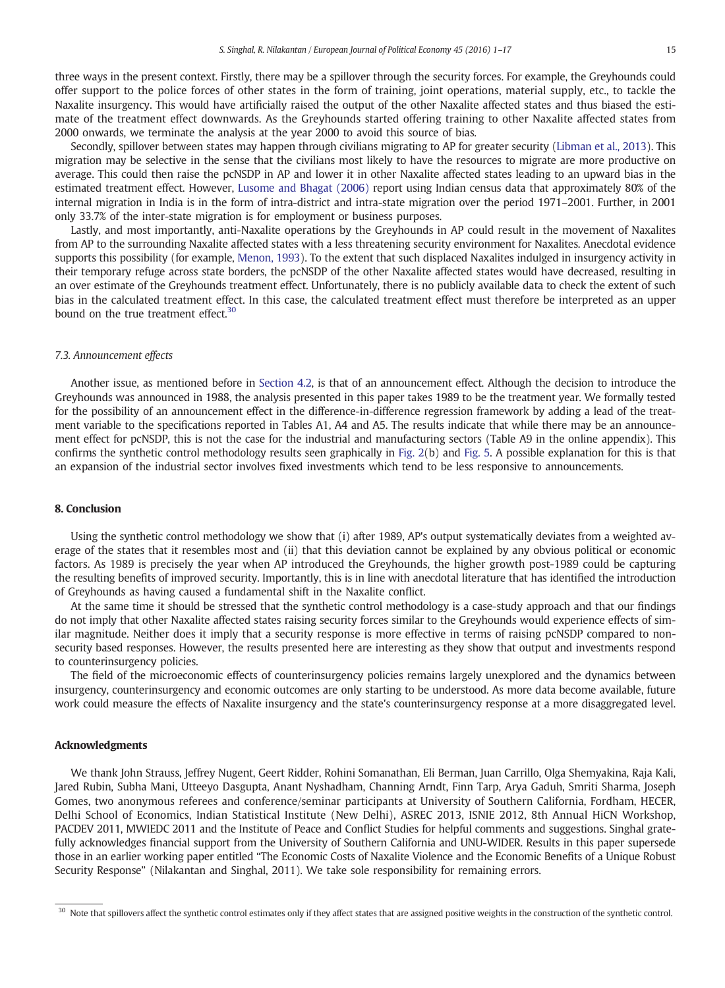three ways in the present context. Firstly, there may be a spillover through the security forces. For example, the Greyhounds could offer support to the police forces of other states in the form of training, joint operations, material supply, etc., to tackle the Naxalite insurgency. This would have artificially raised the output of the other Naxalite affected states and thus biased the estimate of the treatment effect downwards. As the Greyhounds started offering training to other Naxalite affected states from 2000 onwards, we terminate the analysis at the year 2000 to avoid this source of bias.

Secondly, spillover between states may happen through civilians migrating to AP for greater security (Libman et al., 2013). This migration may be selective in the sense that the civilians most likely to have the resources to migrate are more productive on average. This could then raise the pcNSDP in AP and lower it in other Naxalite affected states leading to an upward bias in the estimated treatment effect. However, Lusome and Bhagat (2006) report using Indian census data that approximately 80% of the internal migration in India is in the form of intra-district and intra-state migration over the period 1971–2001. Further, in 2001 only 33.7% of the inter-state migration is for employment or business purposes.

Lastly, and most importantly, anti-Naxalite operations by the Greyhounds in AP could result in the movement of Naxalites from AP to the surrounding Naxalite affected states with a less threatening security environment for Naxalites. Anecdotal evidence supports this possibility (for example, Menon, 1993). To the extent that such displaced Naxalites indulged in insurgency activity in their temporary refuge across state borders, the pcNSDP of the other Naxalite affected states would have decreased, resulting in an over estimate of the Greyhounds treatment effect. Unfortunately, there is no publicly available data to check the extent of such bias in the calculated treatment effect. In this case, the calculated treatment effect must therefore be interpreted as an upper bound on the true treatment effect.<sup>30</sup>

#### *7.3. Announcement effects*

Another issue, as mentioned before in Section 4.2, is that of an announcement effect. Although the decision to introduce the Greyhounds was announced in 1988, the analysis presented in this paper takes 1989 to be the treatment year. We formally tested for the possibility of an announcement effect in the difference-in-difference regression framework by adding a lead of the treatment variable to the specifications reported in Tables A1, A4 and A5. The results indicate that while there may be an announcement effect for pcNSDP, this is not the case for the industrial and manufacturing sectors (Table A9 in the online appendix). This confirms the synthetic control methodology results seen graphically in Fig. 2(b) and Fig. 5. A possible explanation for this is that an expansion of the industrial sector involves fixed investments which tend to be less responsive to announcements.

#### 8. Conclusion

Using the synthetic control methodology we show that (i) after 1989, AP's output systematically deviates from a weighted average of the states that it resembles most and (ii) that this deviation cannot be explained by any obvious political or economic factors. As 1989 is precisely the year when AP introduced the Greyhounds, the higher growth post-1989 could be capturing the resulting benefits of improved security. Importantly, this is in line with anecdotal literature that has identified the introduction of Greyhounds as having caused a fundamental shift in the Naxalite conflict.

At the same time it should be stressed that the synthetic control methodology is a case-study approach and that our findings do not imply that other Naxalite affected states raising security forces similar to the Greyhounds would experience effects of similar magnitude. Neither does it imply that a security response is more effective in terms of raising pcNSDP compared to nonsecurity based responses. However, the results presented here are interesting as they show that output and investments respond to counterinsurgency policies.

The field of the microeconomic effects of counterinsurgency policies remains largely unexplored and the dynamics between insurgency, counterinsurgency and economic outcomes are only starting to be understood. As more data become available, future work could measure the effects of Naxalite insurgency and the state's counterinsurgency response at a more disaggregated level.

#### Acknowledgments

We thank John Strauss, Jeffrey Nugent, Geert Ridder, Rohini Somanathan, Eli Berman, Juan Carrillo, Olga Shemyakina, Raja Kali, Jared Rubin, Subha Mani, Utteeyo Dasgupta, Anant Nyshadham, Channing Arndt, Finn Tarp, Arya Gaduh, Smriti Sharma, Joseph Gomes, two anonymous referees and conference/seminar participants at University of Southern California, Fordham, HECER, Delhi School of Economics, Indian Statistical Institute (New Delhi), ASREC 2013, ISNIE 2012, 8th Annual HiCN Workshop, PACDEV 2011, MWIEDC 2011 and the Institute of Peace and Conflict Studies for helpful comments and suggestions. Singhal gratefully acknowledges financial support from the University of Southern California and UNU-WIDER. Results in this paper supersede those in an earlier working paper entitled "The Economic Costs of Naxalite Violence and the Economic Benefits of a Unique Robust Security Response" (Nilakantan and Singhal, 2011). We take sole responsibility for remaining errors.

<sup>&</sup>lt;sup>30</sup> Note that spillovers affect the synthetic control estimates only if they affect states that are assigned positive weights in the construction of the synthetic control.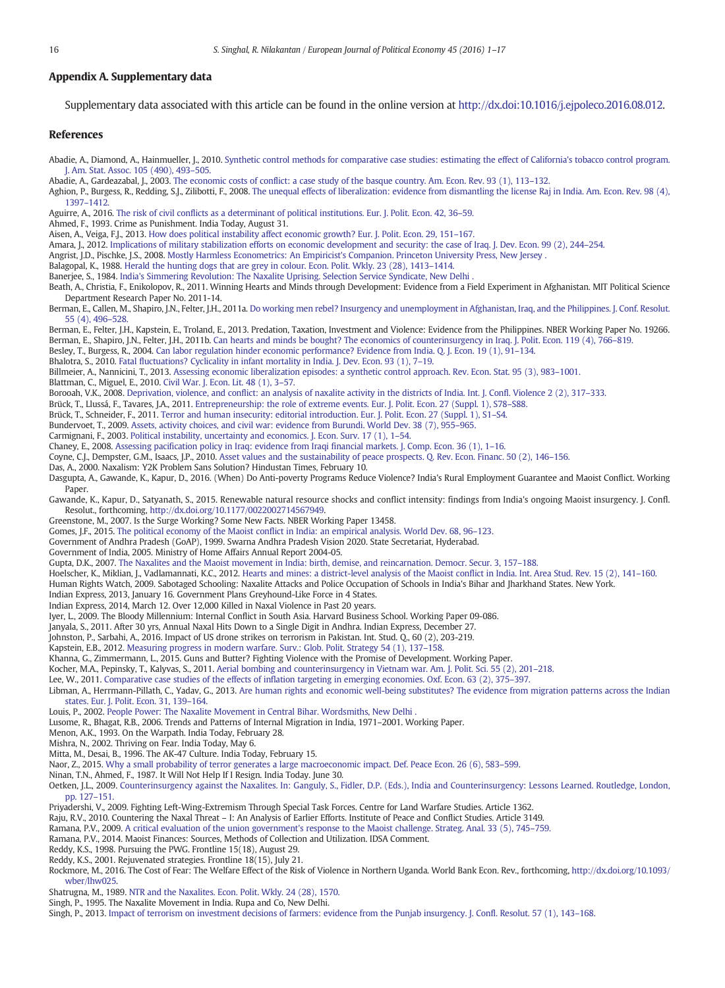#### Appendix A. Supplementary data

Supplementary data associated with this article can be found in the online version at http://dx.doi:10.1016/j.ejpoleco.2016.08.012.

#### References

Abadie, A., Diamond, A., Hainmueller, J., 2010. Synthetic control methods for comparative case studies: estimating the effect of California's tobacco control program. J. Am. Stat. Assoc. 105 (490), 493–505.

Abadie, A., Gardeazabal, J., 2003. The economic costs of conflict: a case study of the basque country. Am. Econ. Rev. 93 (1), 113–132.

Aghion, P., Burgess, R., Redding, S.J., Zilibotti, F., 2008. The unequal effects of liberalization: evidence from dismantling the license Raj in India. Am. Econ. Rev. 98 (4), 1397–1412.

Aguirre, A., 2016. The risk of civil conflicts as a determinant of political institutions. Eur. J. Polit. Econ. 42, 36–59.

Ahmed, F., 1993. Crime as Punishment. India Today, August 31.

Aisen, A., Veiga, F.J., 2013. How does political instability affect economic growth? Eur. J. Polit. Econ. 29, 151–167.

Amara, J., 2012. Implications of military stabilization efforts on economic development and security: the case of Iraq. J. Dev. Econ. 99 (2), 244–254.

Angrist, J.D., Pischke, J.S., 2008. Mostly Harmless Econometrics: An Empiricist's Companion. Princeton University Press, New Jersey .

Balagopal, K., 1988. Herald the hunting dogs that are grey in colour. Econ. Polit. Wkly. 23 (28), 1413–1414.

Banerjee, S., 1984. India's Simmering Revolution: The Naxalite Uprising. Selection Service Syndicate, New Delhi .

Beath, A., Christia, F., Enikolopov, R., 2011. Winning Hearts and Minds through Development: Evidence from a Field Experiment in Afghanistan. MIT Political Science Department Research Paper No. 2011-14.

Berman, E., Callen, M., Shapiro, J.N., Felter, J.H., 2011a. Do working men rebel? Insurgency and unemployment in Afghanistan, Iraq, and the Philippines. J. Conf. Resolut. 55 (4), 496–528.

Berman, E., Felter, J.H., Kapstein, E., Troland, E., 2013. Predation, Taxation, Investment and Violence: Evidence from the Philippines. NBER Working Paper No. 19266. Berman, E., Shapiro, J.N., Felter, J.H., 2011b. Can hearts and minds be bought? The economics of counterinsurgency in Iraq. J. Polit. Econ. 119 (4), 766–819.

Besley, T., Burgess, R., 2004. Can labor regulation hinder economic performance? Evidence from India. Q. J. Econ. 19 (1), 91–134.

Bhalotra, S., 2010. Fatal fluctuations? Cyclicality in infant mortality in India. J. Dev. Econ. 93 (1), 7–19.

Billmeier, A., Nannicini, T., 2013. Assessing economic liberalization episodes: a synthetic control approach. Rev. Econ. Stat. 95 (3), 983–1001.

Blattman, C., Miguel, E., 2010. Civil War. J. Econ. Lit. 48 (1), 3–57.

Borooah, V.K., 2008. Deprivation, violence, and conflict: an analysis of naxalite activity in the districts of India. Int. J. Confl. Violence 2 (2), 317–333.

Brück, T., Llussá, F., Tavares, J.A., 2011. Entrepreneurship: the role of extreme events. Eur. J. Polit. Econ. 27 (Suppl. 1), S78–S88.

Brück, T., Schneider, F., 2011. Terror and human insecurity: editorial introduction. Eur. J. Polit. Econ. 27 (Suppl. 1), S1–S4.

Bundervoet, T., 2009. Assets, activity choices, and civil war: evidence from Burundi. World Dev. 38 (7), 955–965.

Carmignani, F., 2003. Political instability, uncertainty and economics. J. Econ. Surv. 17 (1), 1–54.

Chaney, E., 2008. Assessing pacification policy in Iraq: evidence from Iraqi financial markets. J. Comp. Econ. 36 (1), 1–16.

Coyne, C.J., Dempster, G.M., Isaacs, J.P., 2010. Asset values and the sustainability of peace prospects. Q. Rev. Econ. Financ. 50 (2), 146–156.

Das, A., 2000. Naxalism: Y2K Problem Sans Solution? Hindustan Times, February 10.

Dasgupta, A., Gawande, K., Kapur, D., 2016. (When) Do Anti-poverty Programs Reduce Violence? India's Rural Employment Guarantee and Maoist Conflict. Working Paper.

Gawande, K., Kapur, D., Satyanath, S., 2015. Renewable natural resource shocks and conflict intensity: findings from India's ongoing Maoist insurgency. J. Confl. Resolut., forthcoming, http://dx.doi.org/10.1177/0022002714567949.

Greenstone, M., 2007. Is the Surge Working? Some New Facts. NBER Working Paper 13458.

Gomes, J.F., 2015. The political economy of the Maoist conflict in India: an empirical analysis. World Dev. 68, 96–123.

Government of Andhra Pradesh (GoAP), 1999. Swarna Andhra Pradesh Vision 2020. State Secretariat, Hyderabad.

Government of India, 2005. Ministry of Home Affairs Annual Report 2004-05.

Gupta, D.K., 2007. The Naxalites and the Maoist movement in India: birth, demise, and reincarnation. Democr. Secur. 3, 157–188.

Hoelscher, K., Miklian, J., Vadlamannati, K.C., 2012. Hearts and mines: a district-level analysis of the Maoist conflict in India. Int. Area Stud. Rev. 15 (2), 141–160.

Human Rights Watch, 2009. Sabotaged Schooling: Naxalite Attacks and Police Occupation of Schools in India's Bihar and Jharkhand States. New York.

Indian Express, 2013, January 16. Government Plans Greyhound-Like Force in 4 States. Indian Express, 2014, March 12. Over 12,000 Killed in Naxal Violence in Past 20 years.

Iyer, L., 2009. The Bloody Millennium: Internal Conflict in South Asia. Harvard Business School. Working Paper 09-086.

Janyala, S., 2011. After 30 yrs, Annual Naxal Hits Down to a Single Digit in Andhra. Indian Express, December 27.

Johnston, P., Sarbahi, A., 2016. Impact of US drone strikes on terrorism in Pakistan. Int. Stud. Q., 60 (2), 203-219.

Kapstein, E.B., 2012. Measuring progress in modern warfare. Surv.: Glob. Polit. Strategy 54 (1), 137–158.

Khanna, G., Zimmermann, L., 2015. Guns and Butter? Fighting Violence with the Promise of Development. Working Paper.

Kocher, M.A., Pepinsky, T., Kalyvas, S., 2011. Aerial bombing and counterinsurgency in Vietnam war. Am. J. Polit. Sci. 55 (2), 201–218.

Lee, W., 2011. Comparative case studies of the effects of inflation targeting in emerging economies. Oxf. Econ. 63 (2), 375–397.

Libman, A., Herrmann-Pillath, C., Yadav, G., 2013. Are human rights and economic well-being substitutes? The evidence from migration patterns across the Indian states. Eur. J. Polit. Econ. 31, 139–164.

Louis, P., 2002. People Power: The Naxalite Movement in Central Bihar. Wordsmiths, New Delhi

Lusome, R., Bhagat, R.B., 2006. Trends and Patterns of Internal Migration in India, 1971–2001. Working Paper.

Menon, A.K., 1993. On the Warpath. India Today, February 28.

Mishra, N., 2002. Thriving on Fear. India Today, May 6.

Mitta, M., Desai, B., 1996. The AK-47 Culture. India Today, February 15.

Naor, Z., 2015. Why a small probability of terror generates a large macroeconomic impact. Def. Peace Econ. 26 (6), 583–599.

Ninan, T.N., Ahmed, F., 1987. It Will Not Help If I Resign. India Today. June 30.

Oetken, J.L., 2009. Counterinsurgency against the Naxalites. In: Ganguly, S., Fidler, D.P. (Eds.), India and Counterinsurgency: Lessons Learned. Routledge, London, pp. 127–151.

Priyadershi, V., 2009. Fighting Left-Wing-Extremism Through Special Task Forces. Centre for Land Warfare Studies. Article 1362.

Raju, R.V., 2010. Countering the Naxal Threat – I: An Analysis of Earlier Efforts. Institute of Peace and Conflict Studies. Article 3149.

Ramana, P.V., 2009. A critical evaluation of the union government's response to the Maoist challenge. Strateg. Anal. 33 (5), 745–759.

Ramana, P.V., 2014. Maoist Finances: Sources, Methods of Collection and Utilization. IDSA Comment.

Reddy, K.S., 1998. Pursuing the PWG. Frontline 15(18), August 29.

Reddy, K.S., 2001. Rejuvenated strategies. Frontline 18(15), July 21.

- Rockmore, M., 2016. The Cost of Fear: The Welfare Effect of the Risk of Violence in Northern Uganda. World Bank Econ. Rev., forthcoming, http://dx.doi.org/10.1093/ wber/lhw025.
- Shatrugna, M., 1989. NTR and the Naxalites. Econ. Polit. Wkly. 24 (28), 1570.
- Singh, P., 1995. The Naxalite Movement in India. Rupa and Co, New Delhi.

Singh, P., 2013. Impact of terrorism on investment decisions of farmers: evidence from the Punjab insurgency. J. Confl. Resolut. 57 (1), 143–168.